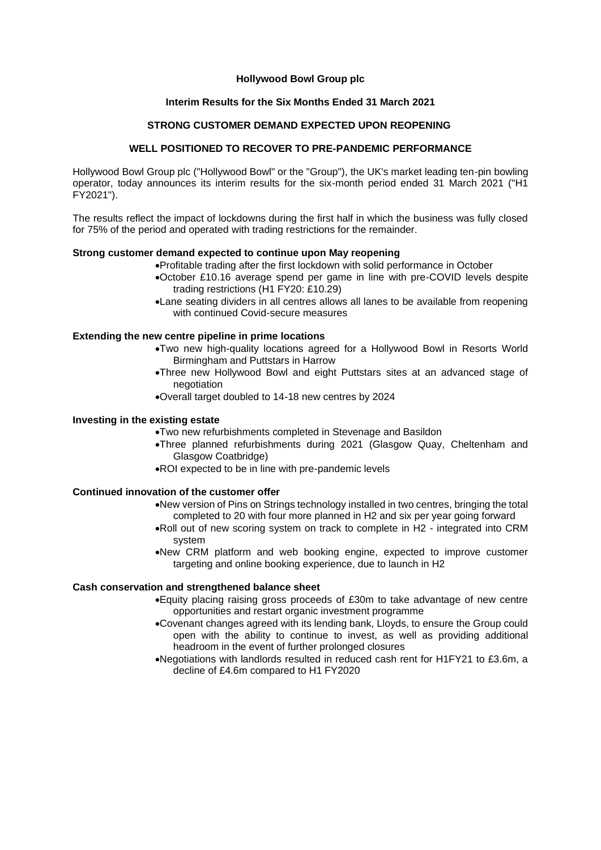## **Hollywood Bowl Group plc**

## **Interim Results for the Six Months Ended 31 March 2021**

## **STRONG CUSTOMER DEMAND EXPECTED UPON REOPENING**

## **WELL POSITIONED TO RECOVER TO PRE-PANDEMIC PERFORMANCE**

Hollywood Bowl Group plc ("Hollywood Bowl" or the "Group"), the UK's market leading ten-pin bowling operator, today announces its interim results for the six-month period ended 31 March 2021 ("H1 FY2021").

The results reflect the impact of lockdowns during the first half in which the business was fully closed for 75% of the period and operated with trading restrictions for the remainder.

### **Strong customer demand expected to continue upon May reopening**

•Profitable trading after the first lockdown with solid performance in October

- •October £10.16 average spend per game in line with pre-COVID levels despite trading restrictions (H1 FY20: £10.29)
- •Lane seating dividers in all centres allows all lanes to be available from reopening with continued Covid-secure measures

### **Extending the new centre pipeline in prime locations**

- •Two new high-quality locations agreed for a Hollywood Bowl in Resorts World Birmingham and Puttstars in Harrow
	- •Three new Hollywood Bowl and eight Puttstars sites at an advanced stage of negotiation
	- •Overall target doubled to 14-18 new centres by 2024

## **Investing in the existing estate**

- •Two new refurbishments completed in Stevenage and Basildon
- •Three planned refurbishments during 2021 (Glasgow Quay, Cheltenham and Glasgow Coatbridge)
- •ROI expected to be in line with pre-pandemic levels

## **Continued innovation of the customer offer**

- •New version of Pins on Strings technology installed in two centres, bringing the total completed to 20 with four more planned in H2 and six per year going forward
- •Roll out of new scoring system on track to complete in H2 integrated into CRM system
- •New CRM platform and web booking engine, expected to improve customer targeting and online booking experience, due to launch in H2

## **Cash conservation and strengthened balance sheet**

- •Equity placing raising gross proceeds of £30m to take advantage of new centre opportunities and restart organic investment programme
- •Covenant changes agreed with its lending bank, Lloyds, to ensure the Group could open with the ability to continue to invest, as well as providing additional headroom in the event of further prolonged closures
- •Negotiations with landlords resulted in reduced cash rent for H1FY21 to £3.6m, a decline of £4.6m compared to H1 FY2020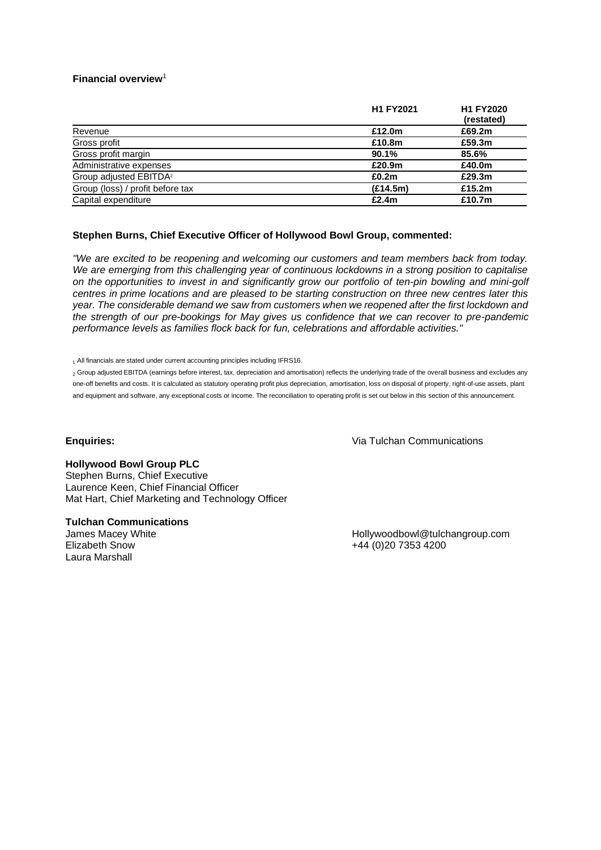## **Financial overview**<sup>1</sup>

|                                    | <b>H1 FY2021</b> | <b>H1 FY2020</b><br>(restated) |
|------------------------------------|------------------|--------------------------------|
| Revenue                            | £12.0m           | £69.2m                         |
| Gross profit                       | £10.8m           | £59.3m                         |
| Gross profit margin                | 90.1%            | 85.6%                          |
| Administrative expenses            | £20.9m           | £40.0m                         |
| Group adjusted EBITDA <sup>2</sup> | £0.2m            | £29.3m                         |
| Group (loss) / profit before tax   | (E14.5m)         | £15.2 $m$                      |
| Capital expenditure                | £2.4m            | £10.7m                         |

## **Stephen Burns, Chief Executive Officer of Hollywood Bowl Group, commented:**

*"We are excited to be reopening and welcoming our customers and team members back from today. We are emerging from this challenging year of continuous lockdowns in a strong position to capitalise on the opportunities to invest in and significantly grow our portfolio of ten-pin bowling and mini-golf centres in prime locations and are pleased to be starting construction on three new centres later this year. The considerable demand we saw from customers when we reopened after the first lockdown and the strength of our pre-bookings for May gives us confidence that we can recover to pre-pandemic performance levels as families flock back for fun, celebrations and affordable activities."*

1 All financials are stated under current accounting principles including IFRS16.

<sup>2</sup> Group adjusted EBITDA (earnings before interest, tax, depreciation and amortisation) reflects the underlying trade of the overall business and excludes any one-off benefits and costs. It is calculated as statutory operating profit plus depreciation, amortisation, loss on disposal of property, right-of-use assets, plant and equipment and software, any exceptional costs or income. The reconciliation to operating profit is set out below in this section of this announcement.

## **Enquiries:**

Via Tulchan Communications

## **Hollywood Bowl Group PLC**

Stephen Burns, Chief Executive Laurence Keen, Chief Financial Officer Mat Hart, Chief Marketing and Technology Officer

## **Tulchan Communications**

James Macey White Elizabeth Snow Laura Marshall

Hollywoodbowl@tulchangroup.com +44 (0)20 7353 4200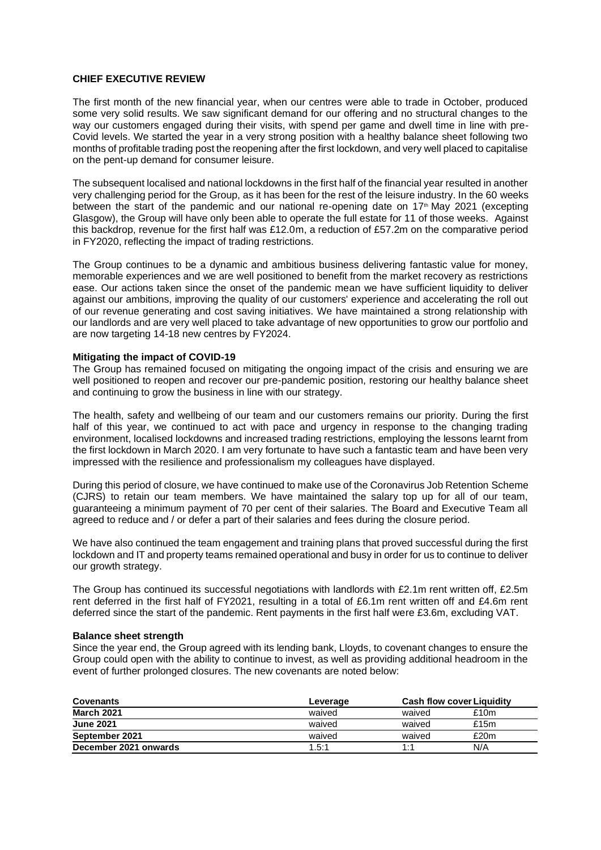## **CHIEF EXECUTIVE REVIEW**

The first month of the new financial year, when our centres were able to trade in October, produced some very solid results. We saw significant demand for our offering and no structural changes to the way our customers engaged during their visits, with spend per game and dwell time in line with pre-Covid levels. We started the year in a very strong position with a healthy balance sheet following two months of profitable trading post the reopening after the first lockdown, and very well placed to capitalise on the pent-up demand for consumer leisure.

The subsequent localised and national lockdowns in the first half of the financial year resulted in another very challenging period for the Group, as it has been for the rest of the leisure industry. In the 60 weeks between the start of the pandemic and our national re-opening date on  $17<sup>th</sup>$  May 2021 (excepting Glasgow), the Group will have only been able to operate the full estate for 11 of those weeks. Against this backdrop, revenue for the first half was £12.0m, a reduction of £57.2m on the comparative period in FY2020, reflecting the impact of trading restrictions.

The Group continues to be a dynamic and ambitious business delivering fantastic value for money, memorable experiences and we are well positioned to benefit from the market recovery as restrictions ease. Our actions taken since the onset of the pandemic mean we have sufficient liquidity to deliver against our ambitions, improving the quality of our customers' experience and accelerating the roll out of our revenue generating and cost saving initiatives. We have maintained a strong relationship with our landlords and are very well placed to take advantage of new opportunities to grow our portfolio and are now targeting 14-18 new centres by FY2024.

## **Mitigating the impact of COVID-19**

The Group has remained focused on mitigating the ongoing impact of the crisis and ensuring we are well positioned to reopen and recover our pre-pandemic position, restoring our healthy balance sheet and continuing to grow the business in line with our strategy.

The health, safety and wellbeing of our team and our customers remains our priority. During the first half of this year, we continued to act with pace and urgency in response to the changing trading environment, localised lockdowns and increased trading restrictions, employing the lessons learnt from the first lockdown in March 2020. I am very fortunate to have such a fantastic team and have been very impressed with the resilience and professionalism my colleagues have displayed.

During this period of closure, we have continued to make use of the Coronavirus Job Retention Scheme (CJRS) to retain our team members. We have maintained the salary top up for all of our team, guaranteeing a minimum payment of 70 per cent of their salaries. The Board and Executive Team all agreed to reduce and / or defer a part of their salaries and fees during the closure period.

We have also continued the team engagement and training plans that proved successful during the first lockdown and IT and property teams remained operational and busy in order for us to continue to deliver our growth strategy.

The Group has continued its successful negotiations with landlords with £2.1m rent written off, £2.5m rent deferred in the first half of FY2021, resulting in a total of £6.1m rent written off and £4.6m rent deferred since the start of the pandemic. Rent payments in the first half were £3.6m, excluding VAT.

#### **Balance sheet strength**

Since the year end, the Group agreed with its lending bank, Lloyds, to covenant changes to ensure the Group could open with the ability to continue to invest, as well as providing additional headroom in the event of further prolonged closures. The new covenants are noted below:

| <b>Covenants</b>      | Leverage |        | <b>Cash flow cover Liquidity</b> |  |
|-----------------------|----------|--------|----------------------------------|--|
| <b>March 2021</b>     | waived   | waived | £10m                             |  |
| <b>June 2021</b>      | waived   | waived | £15 $m$                          |  |
| September 2021        | waived   | waived | £20m                             |  |
| December 2021 onwards | 1.5:1    | 1:1    | N/A                              |  |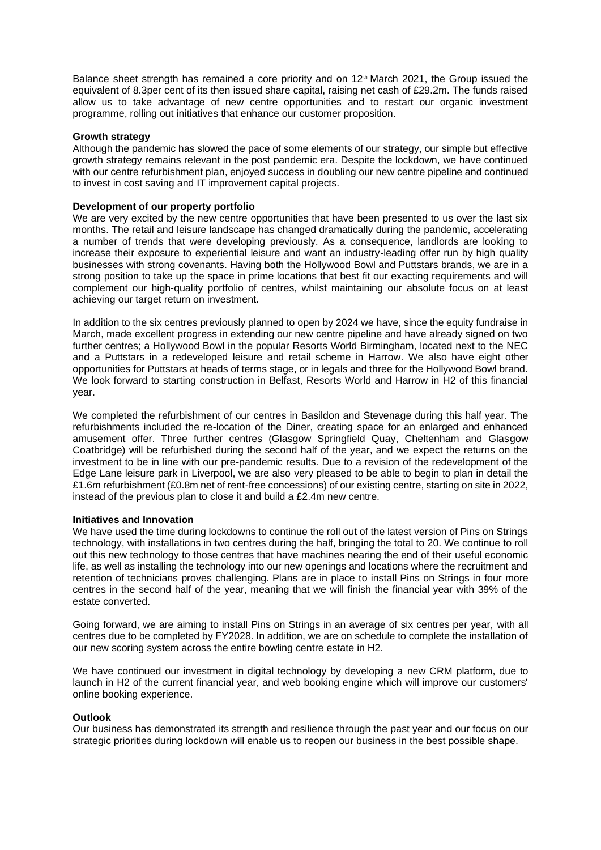Balance sheet strength has remained a core priority and on  $12<sup>th</sup>$  March 2021, the Group issued the equivalent of 8.3per cent of its then issued share capital, raising net cash of £29.2m. The funds raised allow us to take advantage of new centre opportunities and to restart our organic investment programme, rolling out initiatives that enhance our customer proposition.

## **Growth strategy**

Although the pandemic has slowed the pace of some elements of our strategy, our simple but effective growth strategy remains relevant in the post pandemic era. Despite the lockdown, we have continued with our centre refurbishment plan, enjoyed success in doubling our new centre pipeline and continued to invest in cost saving and IT improvement capital projects.

## **Development of our property portfolio**

We are very excited by the new centre opportunities that have been presented to us over the last six months. The retail and leisure landscape has changed dramatically during the pandemic, accelerating a number of trends that were developing previously. As a consequence, landlords are looking to increase their exposure to experiential leisure and want an industry-leading offer run by high quality businesses with strong covenants. Having both the Hollywood Bowl and Puttstars brands, we are in a strong position to take up the space in prime locations that best fit our exacting requirements and will complement our high-quality portfolio of centres, whilst maintaining our absolute focus on at least achieving our target return on investment.

In addition to the six centres previously planned to open by 2024 we have, since the equity fundraise in March, made excellent progress in extending our new centre pipeline and have already signed on two further centres; a Hollywood Bowl in the popular Resorts World Birmingham, located next to the NEC and a Puttstars in a redeveloped leisure and retail scheme in Harrow. We also have eight other opportunities for Puttstars at heads of terms stage, or in legals and three for the Hollywood Bowl brand. We look forward to starting construction in Belfast, Resorts World and Harrow in H2 of this financial year.

We completed the refurbishment of our centres in Basildon and Stevenage during this half year. The refurbishments included the re-location of the Diner, creating space for an enlarged and enhanced amusement offer. Three further centres (Glasgow Springfield Quay, Cheltenham and Glasgow Coatbridge) will be refurbished during the second half of the year, and we expect the returns on the investment to be in line with our pre-pandemic results. Due to a revision of the redevelopment of the Edge Lane leisure park in Liverpool, we are also very pleased to be able to begin to plan in detail the £1.6m refurbishment (£0.8m net of rent-free concessions) of our existing centre, starting on site in 2022, instead of the previous plan to close it and build a £2.4m new centre.

## **Initiatives and Innovation**

We have used the time during lockdowns to continue the roll out of the latest version of Pins on Strings technology, with installations in two centres during the half, bringing the total to 20. We continue to roll out this new technology to those centres that have machines nearing the end of their useful economic life, as well as installing the technology into our new openings and locations where the recruitment and retention of technicians proves challenging. Plans are in place to install Pins on Strings in four more centres in the second half of the year, meaning that we will finish the financial year with 39% of the estate converted.

Going forward, we are aiming to install Pins on Strings in an average of six centres per year, with all centres due to be completed by FY2028. In addition, we are on schedule to complete the installation of our new scoring system across the entire bowling centre estate in H2.

We have continued our investment in digital technology by developing a new CRM platform, due to launch in H2 of the current financial year, and web booking engine which will improve our customers' online booking experience.

## **Outlook**

Our business has demonstrated its strength and resilience through the past year and our focus on our strategic priorities during lockdown will enable us to reopen our business in the best possible shape.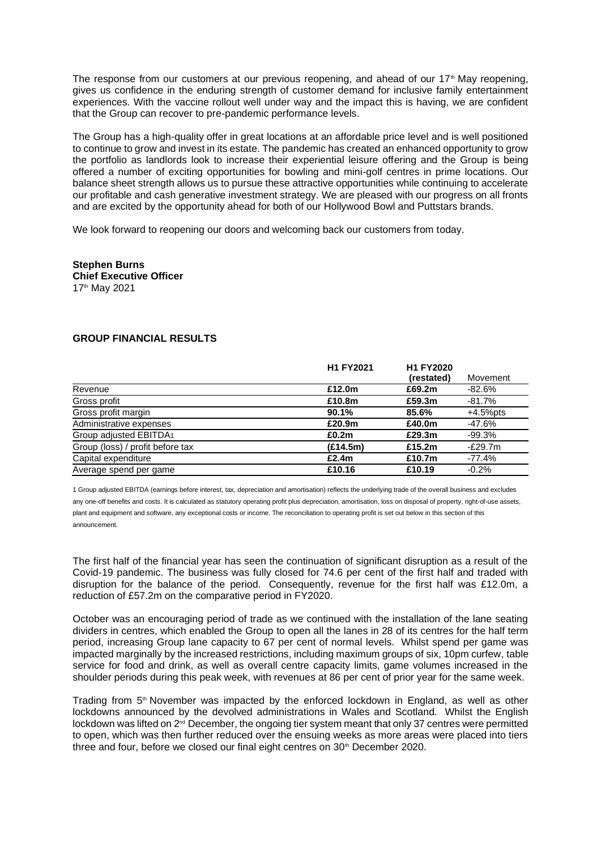The response from our customers at our previous reopening, and ahead of our  $17<sup>th</sup>$  May reopening, gives us confidence in the enduring strength of customer demand for inclusive family entertainment experiences. With the vaccine rollout well under way and the impact this is having, we are confident that the Group can recover to pre-pandemic performance levels.

The Group has a high-quality offer in great locations at an affordable price level and is well positioned to continue to grow and invest in its estate. The pandemic has created an enhanced opportunity to grow the portfolio as landlords look to increase their experiential leisure offering and the Group is being offered a number of exciting opportunities for bowling and mini-golf centres in prime locations. Our balance sheet strength allows us to pursue these attractive opportunities while continuing to accelerate our profitable and cash generative investment strategy. We are pleased with our progress on all fronts and are excited by the opportunity ahead for both of our Hollywood Bowl and Puttstars brands.

We look forward to reopening our doors and welcoming back our customers from today.

**Stephen Burns Chief Executive Officer** 17th May 2021

## **GROUP FINANCIAL RESULTS**

|                                  | H1 FY2021 |                      | Movement    |
|----------------------------------|-----------|----------------------|-------------|
| Revenue                          | £12.0m    | (restated)<br>£69.2m | -82.6%      |
| Gross profit                     | £10.8m    | £59.3m               | -81.7%      |
| Gross profit margin              | 90.1%     | 85.6%                | $+4.5%$ pts |
| Administrative expenses          | £20.9m    | £40.0m               | -47.6%      |
| Group adjusted EBITDA1           | £0.2m     | £29.3m               | $-99.3%$    |
| Group (loss) / profit before tax | (E14.5m)  | £15.2m               | $-E29.7m$   |
| Capital expenditure              | £2.4m     | £10.7m               | -77.4%      |
| Average spend per game           | £10.16    | £10.19               | $-0.2%$     |

1 Group adjusted EBITDA (earnings before interest, tax, depreciation and amortisation) reflects the underlying trade of the overall business and excludes any one-off benefits and costs. It is calculated as statutory operating profit plus depreciation, amortisation, loss on disposal of property, right-of-use assets, plant and equipment and software, any exceptional costs or income. The reconciliation to operating profit is set out below in this section of this announcement.

The first half of the financial year has seen the continuation of significant disruption as a result of the Covid-19 pandemic. The business was fully closed for 74.6 per cent of the first half and traded with disruption for the balance of the period. Consequently, revenue for the first half was £12.0m, a reduction of £57.2m on the comparative period in FY2020.

October was an encouraging period of trade as we continued with the installation of the lane seating dividers in centres, which enabled the Group to open all the lanes in 28 of its centres for the half term period, increasing Group lane capacity to 67 per cent of normal levels. Whilst spend per game was impacted marginally by the increased restrictions, including maximum groups of six, 10pm curfew, table service for food and drink, as well as overall centre capacity limits, game volumes increased in the shoulder periods during this peak week, with revenues at 86 per cent of prior year for the same week.

Trading from 5<sup>th</sup> November was impacted by the enforced lockdown in England, as well as other lockdowns announced by the devolved administrations in Wales and Scotland. Whilst the English lockdown was lifted on 2<sup>nd</sup> December, the ongoing tier system meant that only 37 centres were permitted to open, which was then further reduced over the ensuing weeks as more areas were placed into tiers three and four, before we closed our final eight centres on  $30<sup>th</sup>$  December 2020.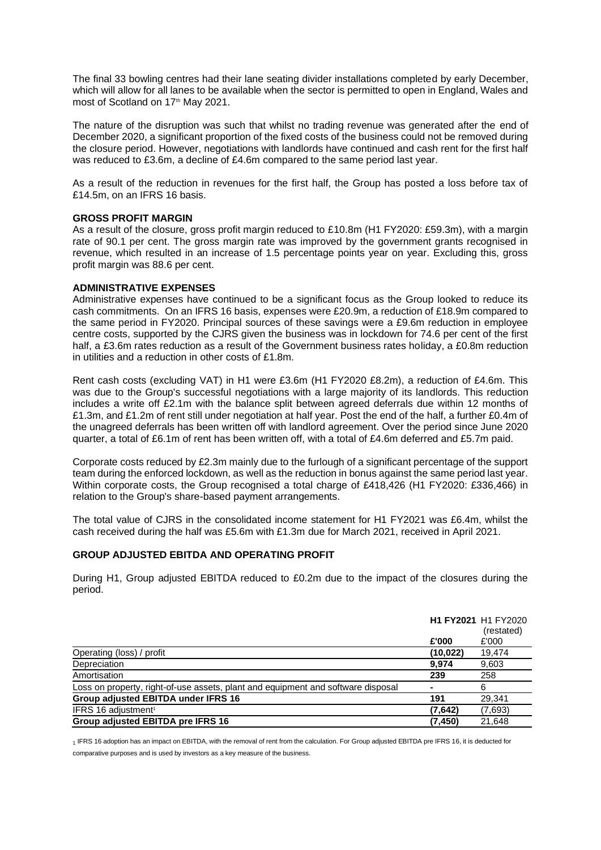The final 33 bowling centres had their lane seating divider installations completed by early December, which will allow for all lanes to be available when the sector is permitted to open in England, Wales and most of Scotland on 17<sup>th</sup> May 2021.

The nature of the disruption was such that whilst no trading revenue was generated after the end of December 2020, a significant proportion of the fixed costs of the business could not be removed during the closure period. However, negotiations with landlords have continued and cash rent for the first half was reduced to £3.6m, a decline of £4.6m compared to the same period last year.

As a result of the reduction in revenues for the first half, the Group has posted a loss before tax of £14.5m, on an IFRS 16 basis.

## **GROSS PROFIT MARGIN**

As a result of the closure, gross profit margin reduced to £10.8m (H1 FY2020: £59.3m), with a margin rate of 90.1 per cent. The gross margin rate was improved by the government grants recognised in revenue, which resulted in an increase of 1.5 percentage points year on year. Excluding this, gross profit margin was 88.6 per cent.

## **ADMINISTRATIVE EXPENSES**

Administrative expenses have continued to be a significant focus as the Group looked to reduce its cash commitments. On an IFRS 16 basis, expenses were £20.9m, a reduction of £18.9m compared to the same period in FY2020. Principal sources of these savings were a £9.6m reduction in employee centre costs, supported by the CJRS given the business was in lockdown for 74.6 per cent of the first half, a £3.6m rates reduction as a result of the Government business rates holiday, a £0.8m reduction in utilities and a reduction in other costs of £1.8m.

Rent cash costs (excluding VAT) in H1 were £3.6m (H1 FY2020 £8.2m), a reduction of £4.6m. This was due to the Group's successful negotiations with a large majority of its landlords. This reduction includes a write off £2.1m with the balance split between agreed deferrals due within 12 months of £1.3m, and £1.2m of rent still under negotiation at half year. Post the end of the half, a further £0.4m of the unagreed deferrals has been written off with landlord agreement. Over the period since June 2020 quarter, a total of £6.1m of rent has been written off, with a total of £4.6m deferred and £5.7m paid.

Corporate costs reduced by £2.3m mainly due to the furlough of a significant percentage of the support team during the enforced lockdown, as well as the reduction in bonus against the same period last year. Within corporate costs, the Group recognised a total charge of £418,426 (H1 FY2020: £336,466) in relation to the Group's share-based payment arrangements.

The total value of CJRS in the consolidated income statement for H1 FY2021 was £6.4m, whilst the cash received during the half was £5.6m with £1.3m due for March 2021, received in April 2021.

## **GROUP ADJUSTED EBITDA AND OPERATING PROFIT**

During H1, Group adjusted EBITDA reduced to £0.2m due to the impact of the closures during the period.

|                                                                                  |                | <b>H1 FY2021</b> H1 FY2020<br>(restated) |
|----------------------------------------------------------------------------------|----------------|------------------------------------------|
|                                                                                  | £'000          | £'000                                    |
| Operating (loss) / profit                                                        | (10, 022)      | 19,474                                   |
| Depreciation                                                                     | 9,974          | 9,603                                    |
| Amortisation                                                                     | 239            | 258                                      |
| Loss on property, right-of-use assets, plant and equipment and software disposal | $\blacksquare$ | 6                                        |
| Group adjusted EBITDA under IFRS 16                                              | 191            | 29.341                                   |
| IFRS 16 adjustment <sup>1</sup>                                                  | (7.642)        | (7,693)                                  |
| Group adjusted EBITDA pre IFRS 16                                                | (7, 450)       | 21,648                                   |

1 IFRS 16 adoption has an impact on EBITDA, with the removal of rent from the calculation. For Group adjusted EBITDA pre IFRS 16, it is deducted for comparative purposes and is used by investors as a key measure of the business.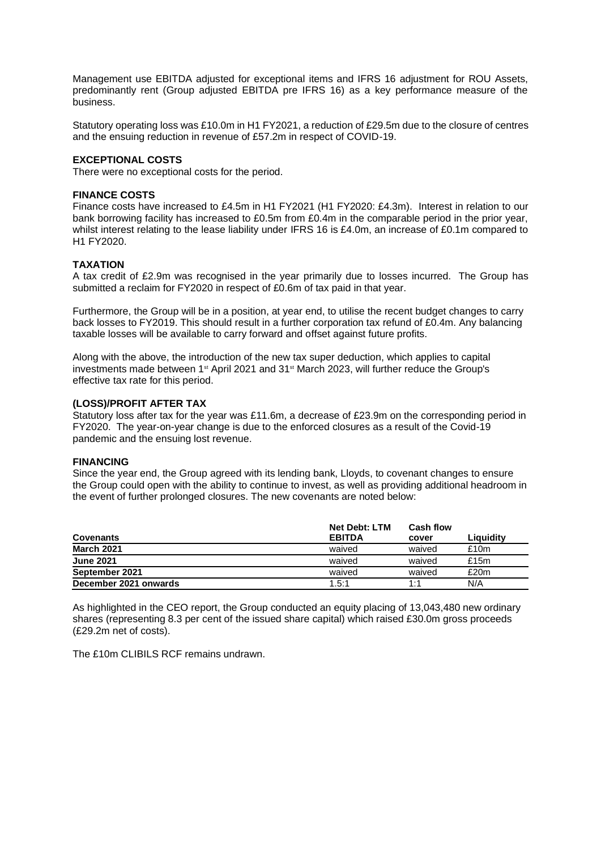Management use EBITDA adjusted for exceptional items and IFRS 16 adjustment for ROU Assets, predominantly rent (Group adjusted EBITDA pre IFRS 16) as a key performance measure of the business.

Statutory operating loss was £10.0m in H1 FY2021, a reduction of £29.5m due to the closure of centres and the ensuing reduction in revenue of £57.2m in respect of COVID-19.

## **EXCEPTIONAL COSTS**

There were no exceptional costs for the period.

## **FINANCE COSTS**

Finance costs have increased to £4.5m in H1 FY2021 (H1 FY2020: £4.3m). Interest in relation to our bank borrowing facility has increased to £0.5m from £0.4m in the comparable period in the prior year, whilst interest relating to the lease liability under IFRS 16 is £4.0m, an increase of £0.1m compared to H1 FY2020.

### **TAXATION**

A tax credit of £2.9m was recognised in the year primarily due to losses incurred. The Group has submitted a reclaim for FY2020 in respect of £0.6m of tax paid in that year.

Furthermore, the Group will be in a position, at year end, to utilise the recent budget changes to carry back losses to FY2019. This should result in a further corporation tax refund of £0.4m. Any balancing taxable losses will be available to carry forward and offset against future profits.

Along with the above, the introduction of the new tax super deduction, which applies to capital investments made between 1<sup>st</sup> April 2021 and 31<sup>st</sup> March 2023, will further reduce the Group's effective tax rate for this period.

## **(LOSS)/PROFIT AFTER TAX**

Statutory loss after tax for the year was £11.6m, a decrease of £23.9m on the corresponding period in FY2020. The year-on-year change is due to the enforced closures as a result of the Covid-19 pandemic and the ensuing lost revenue.

#### **FINANCING**

Since the year end, the Group agreed with its lending bank, Lloyds, to covenant changes to ensure the Group could open with the ability to continue to invest, as well as providing additional headroom in the event of further prolonged closures. The new covenants are noted below:

|                       | <b>Net Debt: LTM</b> | <b>Cash flow</b> |           |
|-----------------------|----------------------|------------------|-----------|
| <b>Covenants</b>      | <b>EBITDA</b>        | cover            | Liauiditv |
| <b>March 2021</b>     | waived               | waived           | £10m      |
| <b>June 2021</b>      | waived               | waived           | £15 $m$   |
| September 2021        | waived               | waived           | £20m      |
| December 2021 onwards | 1.5:1                | 1:1              | N/A       |

As highlighted in the CEO report, the Group conducted an equity placing of 13,043,480 new ordinary shares (representing 8.3 per cent of the issued share capital) which raised £30.0m gross proceeds (£29.2m net of costs).

The £10m CLIBILS RCF remains undrawn.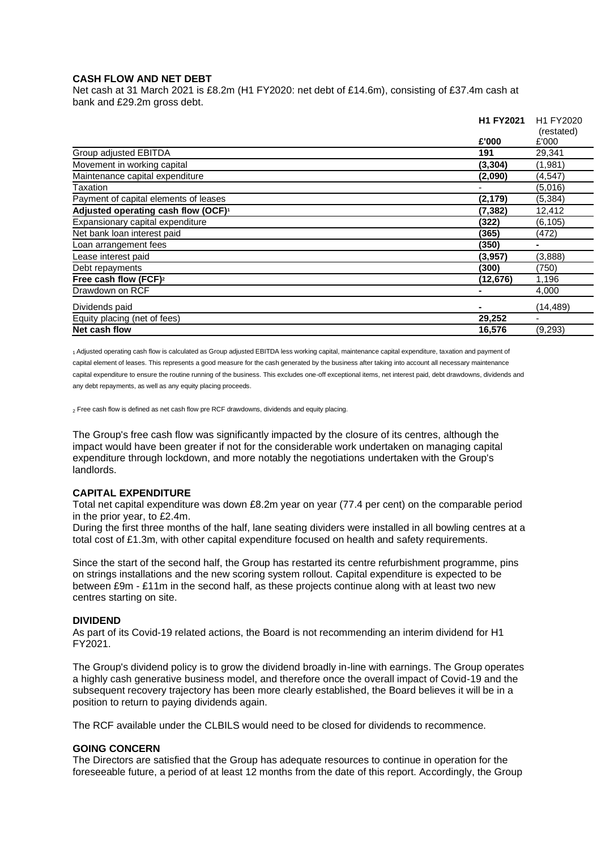## **CASH FLOW AND NET DEBT**

Net cash at 31 March 2021 is £8.2m (H1 FY2020: net debt of £14.6m), consisting of £37.4m cash at bank and £29.2m gross debt.

|                                                 | H1 FY2021 | H1 FY2020<br>(restated) |  |
|-------------------------------------------------|-----------|-------------------------|--|
|                                                 |           |                         |  |
|                                                 | £'000     | £'000                   |  |
| Group adjusted EBITDA                           | 191       | 29,341                  |  |
| Movement in working capital                     | (3, 304)  | (1,981)                 |  |
| Maintenance capital expenditure                 | (2,090)   | (4, 547)                |  |
| Taxation                                        |           | (5,016)                 |  |
| Payment of capital elements of leases           | (2, 179)  | (5, 384)                |  |
| Adjusted operating cash flow (OCF) <sup>1</sup> | (7, 382)  | 12,412                  |  |
| Expansionary capital expenditure                | (322)     | (6, 105)                |  |
| Net bank loan interest paid                     | (365)     | (472)                   |  |
| Loan arrangement fees                           | (350)     |                         |  |
| Lease interest paid                             | (3,957)   | (3,888)                 |  |
| Debt repayments                                 | (300)     | (750)                   |  |
| Free cash flow (FCF) <sup>2</sup>               | (12, 676) | 1,196                   |  |
| Drawdown on RCF                                 |           | 4,000                   |  |
| Dividends paid                                  |           | (14, 489)               |  |
| Equity placing (net of fees)                    | 29,252    |                         |  |
| Net cash flow                                   | 16,576    | (9,293)                 |  |

1 Adjusted operating cash flow is calculated as Group adjusted EBITDA less working capital, maintenance capital expenditure, taxation and payment of capital element of leases. This represents a good measure for the cash generated by the business after taking into account all necessary maintenance capital expenditure to ensure the routine running of the business. This excludes one-off exceptional items, net interest paid, debt drawdowns, dividends and any debt repayments, as well as any equity placing proceeds.

<sub>2</sub> Free cash flow is defined as net cash flow pre RCF drawdowns, dividends and equity placing.

The Group's free cash flow was significantly impacted by the closure of its centres, although the impact would have been greater if not for the considerable work undertaken on managing capital expenditure through lockdown, and more notably the negotiations undertaken with the Group's landlords.

## **CAPITAL EXPENDITURE**

Total net capital expenditure was down £8.2m year on year (77.4 per cent) on the comparable period in the prior year, to £2.4m.

During the first three months of the half, lane seating dividers were installed in all bowling centres at a total cost of £1.3m, with other capital expenditure focused on health and safety requirements.

Since the start of the second half, the Group has restarted its centre refurbishment programme, pins on strings installations and the new scoring system rollout. Capital expenditure is expected to be between £9m - £11m in the second half, as these projects continue along with at least two new centres starting on site.

## **DIVIDEND**

As part of its Covid-19 related actions, the Board is not recommending an interim dividend for H1 FY2021.

The Group's dividend policy is to grow the dividend broadly in-line with earnings. The Group operates a highly cash generative business model, and therefore once the overall impact of Covid-19 and the subsequent recovery trajectory has been more clearly established, the Board believes it will be in a position to return to paying dividends again.

The RCF available under the CLBILS would need to be closed for dividends to recommence.

#### **GOING CONCERN**

The Directors are satisfied that the Group has adequate resources to continue in operation for the foreseeable future, a period of at least 12 months from the date of this report. Accordingly, the Group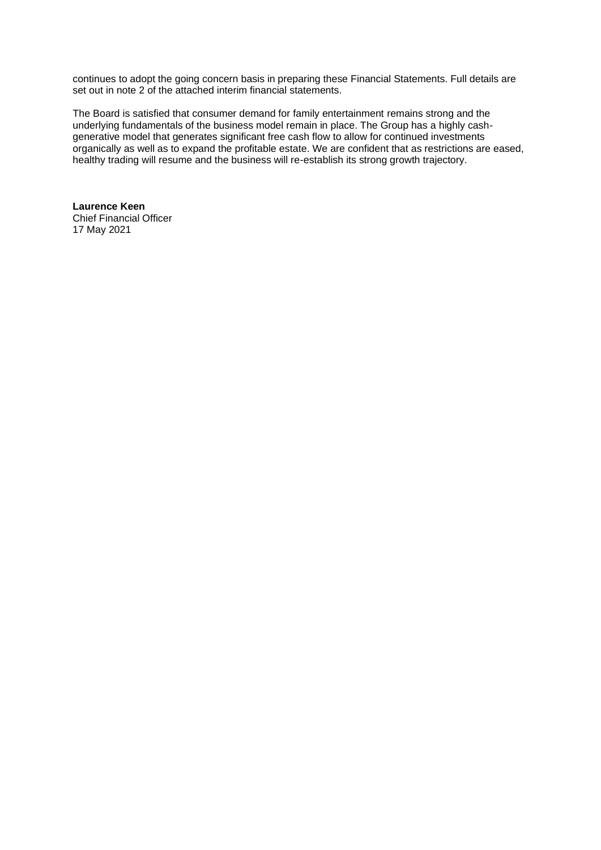continues to adopt the going concern basis in preparing these Financial Statements. Full details are set out in note 2 of the attached interim financial statements.

The Board is satisfied that consumer demand for family entertainment remains strong and the underlying fundamentals of the business model remain in place. The Group has a highly cashgenerative model that generates significant free cash flow to allow for continued investments organically as well as to expand the profitable estate. We are confident that as restrictions are eased, healthy trading will resume and the business will re-establish its strong growth trajectory.

**Laurence Keen** Chief Financial Officer 17 May 2021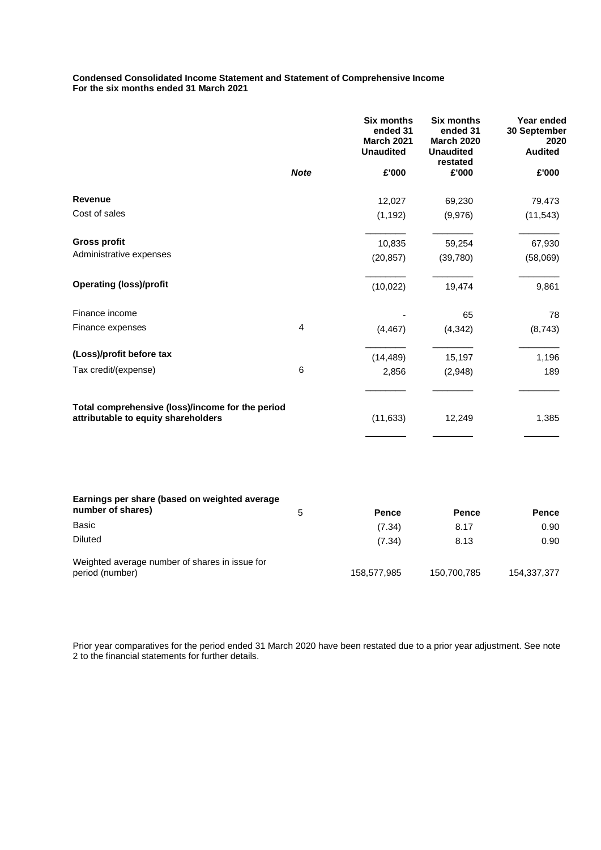#### **Condensed Consolidated Income Statement and Statement of Comprehensive Income For the six months ended 31 March 2021**

|                                                                                         |             | <b>Six months</b><br>ended 31<br><b>March 2021</b><br><b>Unaudited</b> | <b>Six months</b><br>ended 31<br><b>March 2020</b><br><b>Unaudited</b><br>restated | Year ended<br>30 September<br>2020<br><b>Audited</b> |
|-----------------------------------------------------------------------------------------|-------------|------------------------------------------------------------------------|------------------------------------------------------------------------------------|------------------------------------------------------|
|                                                                                         | <b>Note</b> | £'000                                                                  | £'000                                                                              | £'000                                                |
| <b>Revenue</b>                                                                          |             | 12,027                                                                 | 69,230                                                                             | 79,473                                               |
| Cost of sales                                                                           |             | (1, 192)                                                               | (9,976)                                                                            | (11, 543)                                            |
| <b>Gross profit</b>                                                                     |             | 10,835                                                                 | 59,254                                                                             | 67,930                                               |
| Administrative expenses                                                                 |             | (20, 857)                                                              | (39,780)                                                                           | (58,069)                                             |
| <b>Operating (loss)/profit</b>                                                          |             | (10, 022)                                                              | 19,474                                                                             | 9,861                                                |
| Finance income                                                                          |             |                                                                        | 65                                                                                 | 78                                                   |
| Finance expenses                                                                        | 4           | (4, 467)                                                               | (4, 342)                                                                           | (8, 743)                                             |
| (Loss)/profit before tax                                                                |             | (14, 489)                                                              | 15,197                                                                             | 1,196                                                |
| Tax credit/(expense)                                                                    | 6           | 2,856                                                                  | (2,948)                                                                            | 189                                                  |
| Total comprehensive (loss)/income for the period<br>attributable to equity shareholders |             | (11, 633)                                                              | 12,249                                                                             | 1,385                                                |
|                                                                                         |             |                                                                        |                                                                                    |                                                      |
| Earnings per share (based on weighted average<br>number of shares)                      | 5           | Pence                                                                  | Pence                                                                              | Pence                                                |
| <b>Basic</b>                                                                            |             | (7.34)                                                                 | 8.17                                                                               | 0.90                                                 |
| <b>Diluted</b>                                                                          |             | (7.34)                                                                 | 8.13                                                                               | 0.90                                                 |
| Weighted average number of shares in issue for<br>period (number)                       |             | 158,577,985                                                            | 150,700,785                                                                        | 154,337,377                                          |

Prior year comparatives for the period ended 31 March 2020 have been restated due to a prior year adjustment. See note 2 to the financial statements for further details.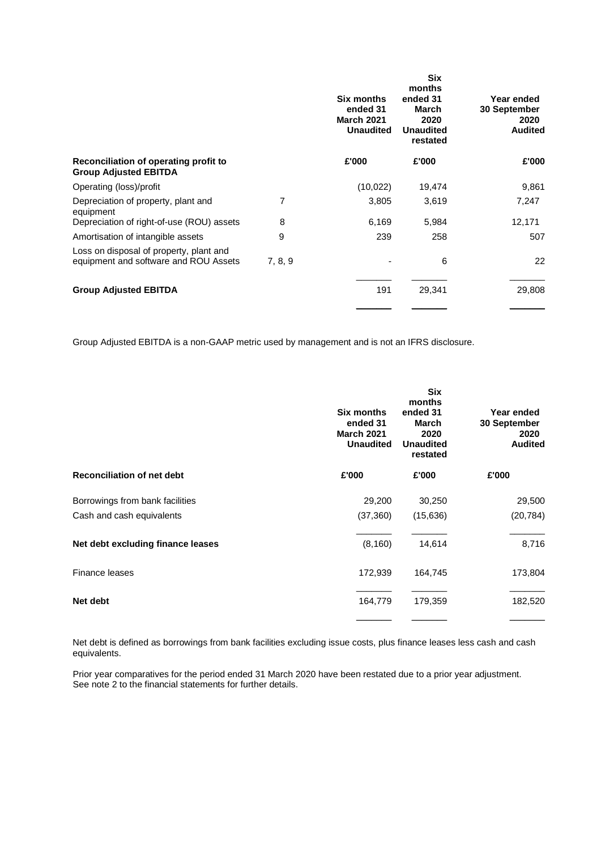|                                                                                  |         | Six months<br>ended 31<br><b>March 2021</b><br><b>Unaudited</b> | <b>Six</b><br>months<br>ended 31<br>March<br>2020<br><b>Unaudited</b><br>restated | Year ended<br>30 September<br>2020<br><b>Audited</b> |
|----------------------------------------------------------------------------------|---------|-----------------------------------------------------------------|-----------------------------------------------------------------------------------|------------------------------------------------------|
| Reconciliation of operating profit to<br><b>Group Adjusted EBITDA</b>            |         | £'000                                                           | £'000                                                                             | £'000                                                |
| Operating (loss)/profit                                                          |         | (10, 022)                                                       | 19,474                                                                            | 9,861                                                |
| Depreciation of property, plant and<br>equipment                                 | 7       | 3,805                                                           | 3,619                                                                             | 7,247                                                |
| Depreciation of right-of-use (ROU) assets                                        | 8       | 6,169                                                           | 5,984                                                                             | 12,171                                               |
| Amortisation of intangible assets                                                | 9       | 239                                                             | 258                                                                               | 507                                                  |
| Loss on disposal of property, plant and<br>equipment and software and ROU Assets | 7, 8, 9 |                                                                 | 6                                                                                 | 22                                                   |
| <b>Group Adjusted EBITDA</b>                                                     |         | 191                                                             | 29,341                                                                            | 29,808                                               |
|                                                                                  |         |                                                                 |                                                                                   |                                                      |

Group Adjusted EBITDA is a non-GAAP metric used by management and is not an IFRS disclosure.

|                                   | Six months<br>ended 31<br><b>March 2021</b><br><b>Unaudited</b> | <b>Six</b><br>months<br>ended 31<br>March<br>2020<br><b>Unaudited</b><br>restated | Year ended<br>30 September<br>2020<br><b>Audited</b> |
|-----------------------------------|-----------------------------------------------------------------|-----------------------------------------------------------------------------------|------------------------------------------------------|
| <b>Reconciliation of net debt</b> | £'000                                                           | £'000                                                                             | £'000                                                |
| Borrowings from bank facilities   | 29,200                                                          | 30,250                                                                            | 29,500                                               |
| Cash and cash equivalents         | (37, 360)                                                       | (15,636)                                                                          | (20, 784)                                            |
| Net debt excluding finance leases | (8, 160)                                                        | 14,614                                                                            | 8,716                                                |
| Finance leases                    | 172,939                                                         | 164,745                                                                           | 173,804                                              |
| Net debt                          | 164,779                                                         | 179,359                                                                           | 182,520                                              |
|                                   |                                                                 |                                                                                   |                                                      |

Net debt is defined as borrowings from bank facilities excluding issue costs, plus finance leases less cash and cash equivalents.

Prior year comparatives for the period ended 31 March 2020 have been restated due to a prior year adjustment. See note 2 to the financial statements for further details.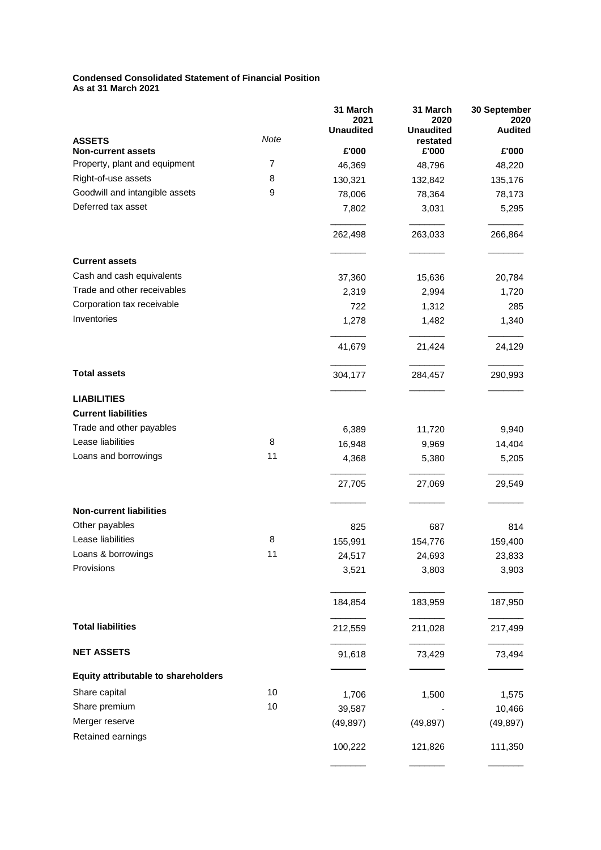# **Condensed Consolidated Statement of Financial Position**

**As at 31 March 2021**

|                                            |      | 31 March<br>2021<br><b>Unaudited</b> | 31 March<br>2020<br><b>Unaudited</b> | 30 September<br>2020<br><b>Audited</b> |
|--------------------------------------------|------|--------------------------------------|--------------------------------------|----------------------------------------|
| <b>ASSETS</b><br><b>Non-current assets</b> | Note | £'000                                | restated<br>£'000                    | £'000                                  |
| Property, plant and equipment              | 7    | 46,369                               | 48,796                               | 48,220                                 |
| Right-of-use assets                        | 8    | 130,321                              | 132,842                              | 135,176                                |
| Goodwill and intangible assets             | 9    | 78,006                               | 78,364                               | 78,173                                 |
| Deferred tax asset                         |      | 7,802                                | 3,031                                | 5,295                                  |
|                                            |      | 262,498                              | 263,033                              | 266,864                                |
| <b>Current assets</b>                      |      |                                      |                                      |                                        |
| Cash and cash equivalents                  |      | 37,360                               | 15,636                               | 20,784                                 |
| Trade and other receivables                |      | 2,319                                | 2,994                                | 1,720                                  |
| Corporation tax receivable                 |      | 722                                  | 1,312                                | 285                                    |
| Inventories                                |      | 1,278                                | 1,482                                | 1,340                                  |
|                                            |      | 41,679                               | 21,424                               | 24,129                                 |
| <b>Total assets</b>                        |      | 304,177                              | 284,457                              | 290,993                                |
| <b>LIABILITIES</b>                         |      |                                      |                                      |                                        |
| <b>Current liabilities</b>                 |      |                                      |                                      |                                        |
| Trade and other payables                   |      | 6,389                                | 11,720                               | 9,940                                  |
| Lease liabilities                          | 8    | 16,948                               | 9,969                                | 14,404                                 |
| Loans and borrowings                       | 11   | 4,368                                | 5,380                                | 5,205                                  |
|                                            |      | 27,705                               | 27,069                               | 29,549                                 |
| <b>Non-current liabilities</b>             |      |                                      |                                      |                                        |
| Other payables                             |      | 825                                  | 687                                  | 814                                    |
| Lease liabilities                          | 8    | 155,991                              | 154,776                              | 159,400                                |
| Loans & borrowings                         | 11   | 24,517                               | 24,693                               | 23,833                                 |
| Provisions                                 |      | 3,521                                | 3,803                                | 3,903                                  |
|                                            |      | 184,854                              | 183,959                              | 187,950                                |
| <b>Total liabilities</b>                   |      | 212,559                              | 211,028                              | 217,499                                |
| <b>NET ASSETS</b>                          |      | 91,618                               | 73,429                               | 73,494                                 |
| <b>Equity attributable to shareholders</b> |      |                                      |                                      |                                        |
| Share capital                              | 10   | 1,706                                | 1,500                                | 1,575                                  |
| Share premium                              | 10   | 39,587                               |                                      | 10,466                                 |
| Merger reserve                             |      | (49, 897)                            | (49, 897)                            | (49, 897)                              |
| Retained earnings                          |      | 100,222                              | 121,826                              | 111,350                                |
|                                            |      |                                      |                                      |                                        |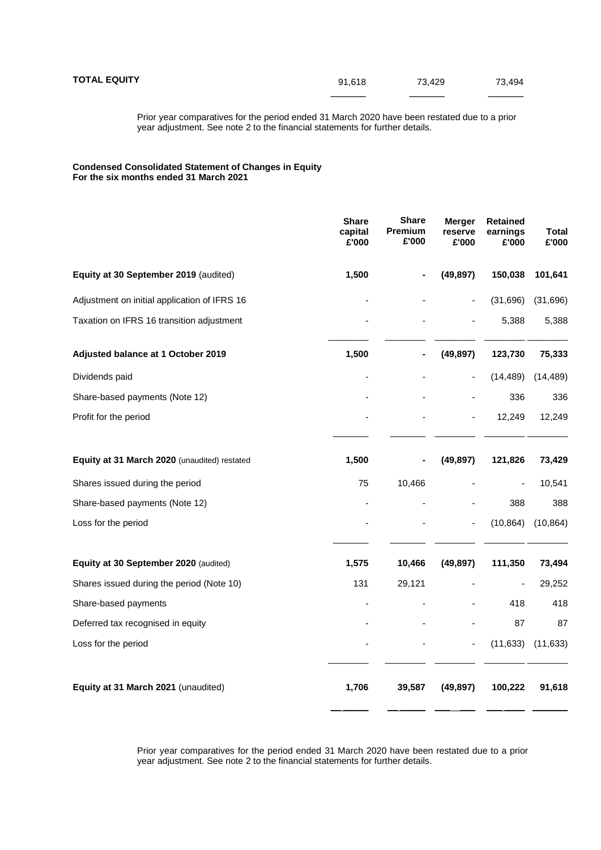Prior year comparatives for the period ended 31 March 2020 have been restated due to a prior year adjustment. See note 2 to the financial statements for further details.

#### **Condensed Consolidated Statement of Changes in Equity For the six months ended 31 March 2021**

|                                              | <b>Share</b><br>capital<br>£'000 | <b>Share</b><br>Premium<br>£'000 | <b>Merger</b><br>reserve<br>£'000 | <b>Retained</b><br>earnings<br>£'000 | <b>Total</b><br>£'000 |
|----------------------------------------------|----------------------------------|----------------------------------|-----------------------------------|--------------------------------------|-----------------------|
| Equity at 30 September 2019 (audited)        | 1,500                            |                                  | (49, 897)                         | 150,038                              | 101,641               |
| Adjustment on initial application of IFRS 16 |                                  |                                  | ä,                                | (31, 696)                            | (31, 696)             |
| Taxation on IFRS 16 transition adjustment    |                                  |                                  |                                   | 5,388                                | 5,388                 |
| Adjusted balance at 1 October 2019           | 1,500                            |                                  | (49, 897)                         | 123,730                              | 75,333                |
| Dividends paid                               |                                  |                                  | $\blacksquare$                    | (14, 489)                            | (14, 489)             |
| Share-based payments (Note 12)               |                                  |                                  |                                   | 336                                  | 336                   |
| Profit for the period                        |                                  |                                  | $\overline{\phantom{0}}$          | 12,249                               | 12,249                |
| Equity at 31 March 2020 (unaudited) restated | 1,500                            |                                  | (49, 897)                         | 121,826                              | 73,429                |
| Shares issued during the period              | 75                               | 10,466                           |                                   |                                      | 10,541                |
| Share-based payments (Note 12)               |                                  |                                  |                                   | 388                                  | 388                   |
| Loss for the period                          |                                  |                                  | ä,                                | (10, 864)                            | (10, 864)             |
| Equity at 30 September 2020 (audited)        | 1,575                            | 10,466                           | (49, 897)                         | 111,350                              | 73,494                |
| Shares issued during the period (Note 10)    | 131                              | 29,121                           |                                   |                                      | 29,252                |
| Share-based payments                         |                                  |                                  |                                   | 418                                  | 418                   |
| Deferred tax recognised in equity            |                                  |                                  |                                   | 87                                   | 87                    |
| Loss for the period                          |                                  |                                  | ٠                                 | (11, 633)                            | (11, 633)             |
| Equity at 31 March 2021 (unaudited)          | 1,706                            | 39,587                           | (49, 897)                         | 100,222                              | 91,618                |

Prior year comparatives for the period ended 31 March 2020 have been restated due to a prior year adjustment. See note 2 to the financial statements for further details.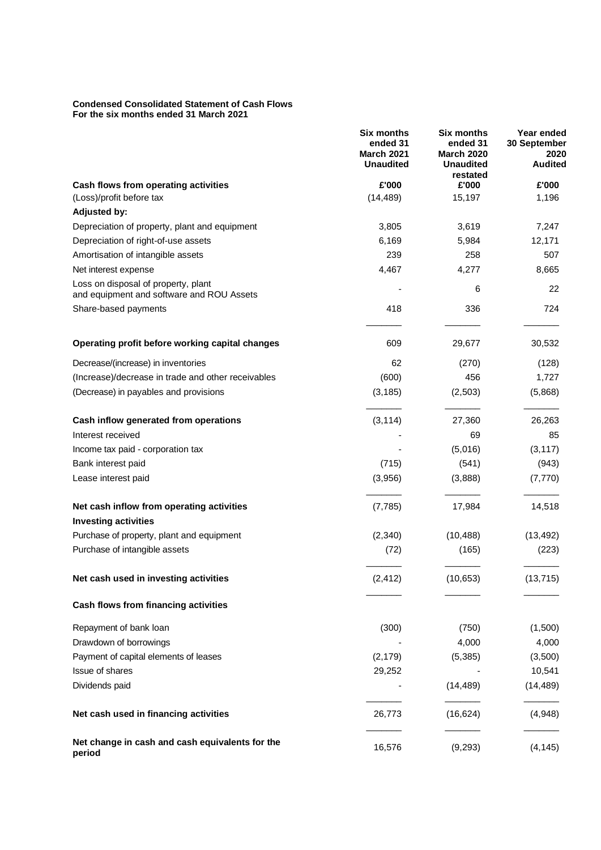#### **Condensed Consolidated Statement of Cash Flows For the six months ended 31 March 2021**

|                                                                                  | <b>Six months</b><br>ended 31<br><b>March 2021</b><br><b>Unaudited</b> | <b>Six months</b><br>ended 31<br><b>March 2020</b><br><b>Unaudited</b> | Year ended<br>30 September<br>2020<br><b>Audited</b> |
|----------------------------------------------------------------------------------|------------------------------------------------------------------------|------------------------------------------------------------------------|------------------------------------------------------|
| Cash flows from operating activities                                             | £'000                                                                  | restated<br>£'000                                                      | £'000                                                |
| (Loss)/profit before tax                                                         | (14, 489)                                                              | 15,197                                                                 | 1,196                                                |
| <b>Adjusted by:</b>                                                              |                                                                        |                                                                        |                                                      |
| Depreciation of property, plant and equipment                                    | 3,805                                                                  | 3,619                                                                  | 7,247                                                |
| Depreciation of right-of-use assets                                              | 6,169                                                                  | 5,984                                                                  | 12,171                                               |
| Amortisation of intangible assets                                                | 239                                                                    | 258                                                                    | 507                                                  |
| Net interest expense                                                             | 4,467                                                                  | 4,277                                                                  | 8,665                                                |
| Loss on disposal of property, plant<br>and equipment and software and ROU Assets |                                                                        | 6                                                                      | 22                                                   |
| Share-based payments                                                             | 418                                                                    | 336                                                                    | 724                                                  |
| Operating profit before working capital changes                                  | 609                                                                    | 29,677                                                                 | 30,532                                               |
| Decrease/(increase) in inventories                                               | 62                                                                     | (270)                                                                  | (128)                                                |
| (Increase)/decrease in trade and other receivables                               | (600)                                                                  | 456                                                                    | 1,727                                                |
| (Decrease) in payables and provisions                                            | (3, 185)                                                               | (2,503)                                                                | (5,868)                                              |
| Cash inflow generated from operations                                            | (3, 114)                                                               | 27,360                                                                 | 26,263                                               |
| Interest received                                                                |                                                                        | 69                                                                     | 85                                                   |
| Income tax paid - corporation tax                                                |                                                                        | (5,016)                                                                | (3, 117)                                             |
| Bank interest paid                                                               | (715)                                                                  | (541)                                                                  | (943)                                                |
| Lease interest paid                                                              | (3,956)                                                                | (3,888)                                                                | (7, 770)                                             |
| Net cash inflow from operating activities                                        | (7,785)                                                                | 17,984                                                                 | 14,518                                               |
| <b>Investing activities</b>                                                      |                                                                        |                                                                        |                                                      |
| Purchase of property, plant and equipment                                        | (2,340)                                                                | (10, 488)                                                              | (13, 492)                                            |
| Purchase of intangible assets                                                    | (72)                                                                   | (165)                                                                  | (223)                                                |
| Net cash used in investing activities                                            | (2, 412)                                                               | (10, 653)                                                              | (13, 715)                                            |
| Cash flows from financing activities                                             |                                                                        |                                                                        |                                                      |
| Repayment of bank loan                                                           | (300)                                                                  | (750)                                                                  | (1,500)                                              |
| Drawdown of borrowings                                                           |                                                                        | 4,000                                                                  | 4,000                                                |
| Payment of capital elements of leases                                            | (2, 179)                                                               | (5, 385)                                                               | (3,500)                                              |
| Issue of shares                                                                  | 29,252                                                                 |                                                                        | 10,541                                               |
| Dividends paid                                                                   |                                                                        | (14, 489)                                                              | (14, 489)                                            |
| Net cash used in financing activities                                            | 26,773                                                                 | (16, 624)                                                              | (4,948)                                              |
| Net change in cash and cash equivalents for the<br>period                        | 16,576                                                                 | (9, 293)                                                               | (4, 145)                                             |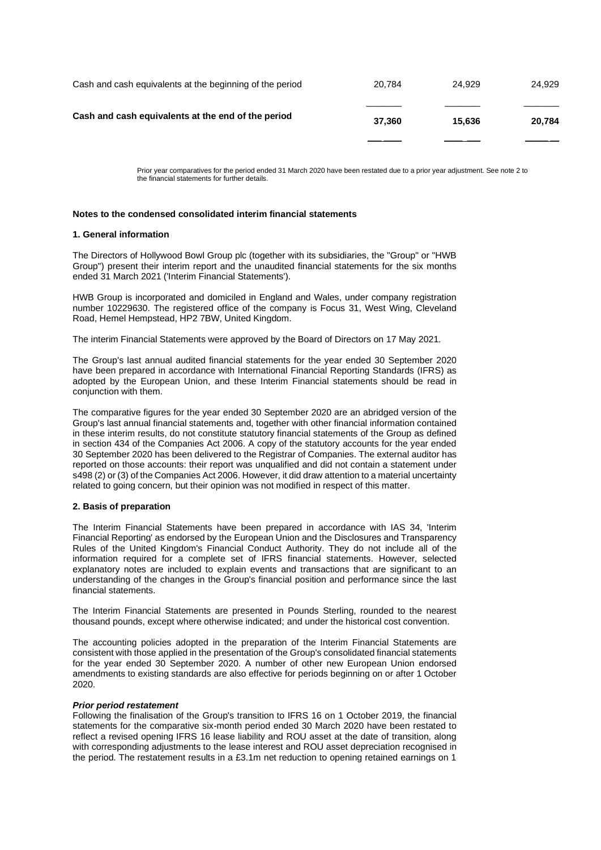| Cash and cash equivalents at the end of the period | 37.360 | 15.636 | 20.784 |
|----------------------------------------------------|--------|--------|--------|
|                                                    |        |        |        |

Prior year comparatives for the period ended 31 March 2020 have been restated due to a prior year adjustment. See note 2 to the financial statements for further details.

### **Notes to the condensed consolidated interim financial statements**

#### **1. General information**

The Directors of Hollywood Bowl Group plc (together with its subsidiaries, the "Group" or "HWB Group") present their interim report and the unaudited financial statements for the six months ended 31 March 2021 ('Interim Financial Statements').

HWB Group is incorporated and domiciled in England and Wales, under company registration number 10229630. The registered office of the company is Focus 31, West Wing, Cleveland Road, Hemel Hempstead, HP2 7BW, United Kingdom.

The interim Financial Statements were approved by the Board of Directors on 17 May 2021.

The Group's last annual audited financial statements for the year ended 30 September 2020 have been prepared in accordance with International Financial Reporting Standards (IFRS) as adopted by the European Union, and these Interim Financial statements should be read in conjunction with them.

The comparative figures for the year ended 30 September 2020 are an abridged version of the Group's last annual financial statements and, together with other financial information contained in these interim results, do not constitute statutory financial statements of the Group as defined in section 434 of the Companies Act 2006. A copy of the statutory accounts for the year ended 30 September 2020 has been delivered to the Registrar of Companies. The external auditor has reported on those accounts: their report was unqualified and did not contain a statement under s498 (2) or (3) of the Companies Act 2006. However, it did draw attention to a material uncertainty related to going concern, but their opinion was not modified in respect of this matter.

#### **2. Basis of preparation**

The Interim Financial Statements have been prepared in accordance with IAS 34, 'Interim Financial Reporting' as endorsed by the European Union and the Disclosures and Transparency Rules of the United Kingdom's Financial Conduct Authority. They do not include all of the information required for a complete set of IFRS financial statements. However, selected explanatory notes are included to explain events and transactions that are significant to an understanding of the changes in the Group's financial position and performance since the last financial statements.

The Interim Financial Statements are presented in Pounds Sterling, rounded to the nearest thousand pounds, except where otherwise indicated; and under the historical cost convention.

The accounting policies adopted in the preparation of the Interim Financial Statements are consistent with those applied in the presentation of the Group's consolidated financial statements for the year ended 30 September 2020. A number of other new European Union endorsed amendments to existing standards are also effective for periods beginning on or after 1 October 2020.

#### *Prior period restatement*

Following the finalisation of the Group's transition to IFRS 16 on 1 October 2019, the financial statements for the comparative six-month period ended 30 March 2020 have been restated to reflect a revised opening IFRS 16 lease liability and ROU asset at the date of transition, along with corresponding adjustments to the lease interest and ROU asset depreciation recognised in the period. The restatement results in a £3.1m net reduction to opening retained earnings on 1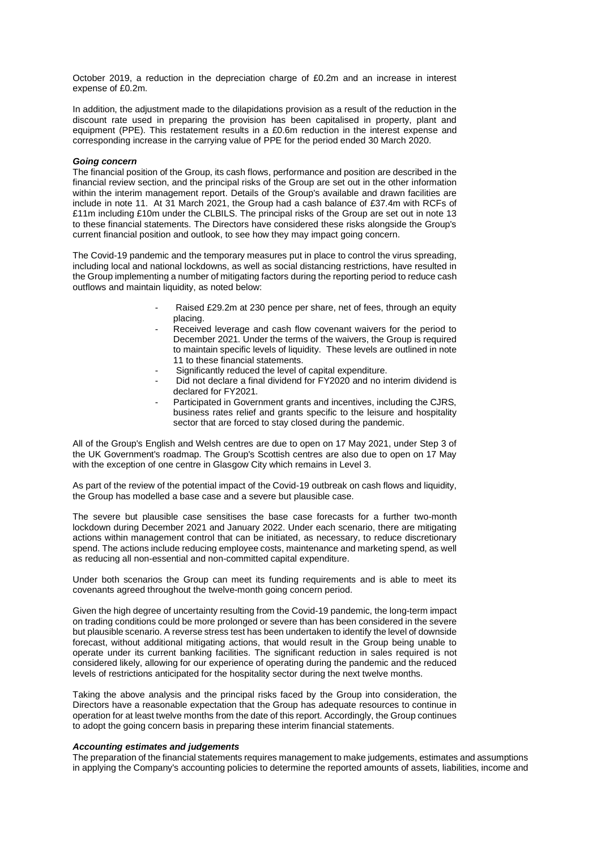October 2019, a reduction in the depreciation charge of £0.2m and an increase in interest expense of £0.2m.

In addition, the adjustment made to the dilapidations provision as a result of the reduction in the discount rate used in preparing the provision has been capitalised in property, plant and equipment (PPE). This restatement results in a £0.6m reduction in the interest expense and corresponding increase in the carrying value of PPE for the period ended 30 March 2020.

#### *Going concern*

The financial position of the Group, its cash flows, performance and position are described in the financial review section, and the principal risks of the Group are set out in the other information within the interim management report. Details of the Group's available and drawn facilities are include in note 11. At 31 March 2021, the Group had a cash balance of £37.4m with RCFs of £11m including £10m under the CLBILS. The principal risks of the Group are set out in note 13 to these financial statements. The Directors have considered these risks alongside the Group's current financial position and outlook, to see how they may impact going concern.

The Covid-19 pandemic and the temporary measures put in place to control the virus spreading, including local and national lockdowns, as well as social distancing restrictions, have resulted in the Group implementing a number of mitigating factors during the reporting period to reduce cash outflows and maintain liquidity, as noted below:

- Raised £29.2m at 230 pence per share, net of fees, through an equity placing.
- Received leverage and cash flow covenant waivers for the period to December 2021. Under the terms of the waivers, the Group is required to maintain specific levels of liquidity. These levels are outlined in note 11 to these financial statements.
- Significantly reduced the level of capital expenditure.
- Did not declare a final dividend for FY2020 and no interim dividend is declared for FY2021.
- Participated in Government grants and incentives, including the CJRS, business rates relief and grants specific to the leisure and hospitality sector that are forced to stay closed during the pandemic.

All of the Group's English and Welsh centres are due to open on 17 May 2021, under Step 3 of the UK Government's roadmap. The Group's Scottish centres are also due to open on 17 May with the exception of one centre in Glasgow City which remains in Level 3.

As part of the review of the potential impact of the Covid-19 outbreak on cash flows and liquidity, the Group has modelled a base case and a severe but plausible case.

The severe but plausible case sensitises the base case forecasts for a further two-month lockdown during December 2021 and January 2022. Under each scenario, there are mitigating actions within management control that can be initiated, as necessary, to reduce discretionary spend. The actions include reducing employee costs, maintenance and marketing spend, as well as reducing all non-essential and non-committed capital expenditure.

Under both scenarios the Group can meet its funding requirements and is able to meet its covenants agreed throughout the twelve-month going concern period.

Given the high degree of uncertainty resulting from the Covid-19 pandemic, the long-term impact on trading conditions could be more prolonged or severe than has been considered in the severe but plausible scenario. A reverse stress test has been undertaken to identify the level of downside forecast, without additional mitigating actions, that would result in the Group being unable to operate under its current banking facilities. The significant reduction in sales required is not considered likely, allowing for our experience of operating during the pandemic and the reduced levels of restrictions anticipated for the hospitality sector during the next twelve months.

Taking the above analysis and the principal risks faced by the Group into consideration, the Directors have a reasonable expectation that the Group has adequate resources to continue in operation for at least twelve months from the date of this report. Accordingly, the Group continues to adopt the going concern basis in preparing these interim financial statements.

#### *Accounting estimates and judgements*

The preparation of the financial statements requires management to make judgements, estimates and assumptions in applying the Company's accounting policies to determine the reported amounts of assets, liabilities, income and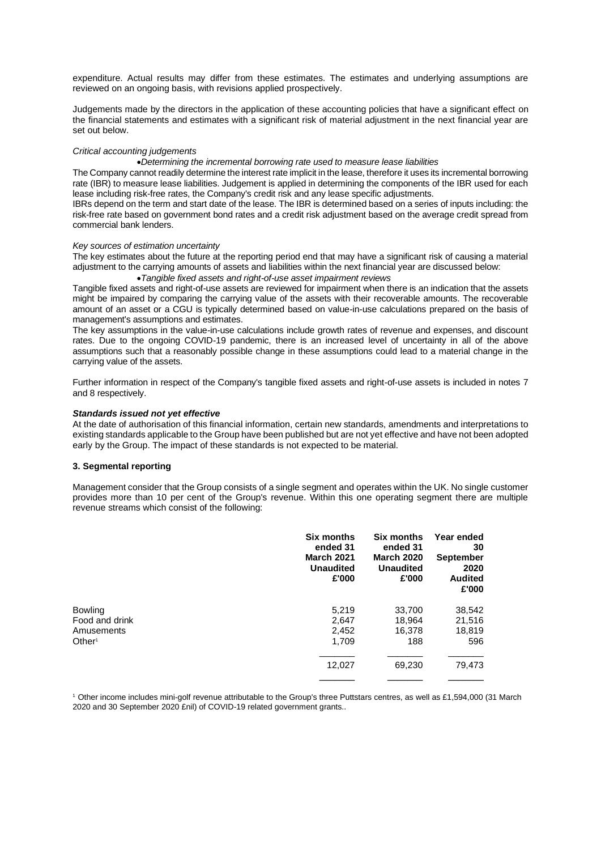expenditure. Actual results may differ from these estimates. The estimates and underlying assumptions are reviewed on an ongoing basis, with revisions applied prospectively.

Judgements made by the directors in the application of these accounting policies that have a significant effect on the financial statements and estimates with a significant risk of material adjustment in the next financial year are set out below.

#### *Critical accounting judgements*

•*Determining the incremental borrowing rate used to measure lease liabilities*

The Company cannot readily determine the interest rate implicit in the lease, therefore it uses its incremental borrowing rate (IBR) to measure lease liabilities. Judgement is applied in determining the components of the IBR used for each lease including risk-free rates, the Company's credit risk and any lease specific adjustments.

IBRs depend on the term and start date of the lease. The IBR is determined based on a series of inputs including: the risk-free rate based on government bond rates and a credit risk adjustment based on the average credit spread from commercial bank lenders.

#### *Key sources of estimation uncertainty*

The key estimates about the future at the reporting period end that may have a significant risk of causing a material adjustment to the carrying amounts of assets and liabilities within the next financial year are discussed below:

•*Tangible fixed assets and right-of-use asset impairment reviews*

Tangible fixed assets and right-of-use assets are reviewed for impairment when there is an indication that the assets might be impaired by comparing the carrying value of the assets with their recoverable amounts. The recoverable amount of an asset or a CGU is typically determined based on value-in-use calculations prepared on the basis of management's assumptions and estimates.

The key assumptions in the value-in-use calculations include growth rates of revenue and expenses, and discount rates. Due to the ongoing COVID-19 pandemic, there is an increased level of uncertainty in all of the above assumptions such that a reasonably possible change in these assumptions could lead to a material change in the carrying value of the assets.

Further information in respect of the Company's tangible fixed assets and right-of-use assets is included in notes 7 and 8 respectively.

#### *Standards issued not yet effective*

At the date of authorisation of this financial information, certain new standards, amendments and interpretations to existing standards applicable to the Group have been published but are not yet effective and have not been adopted early by the Group. The impact of these standards is not expected to be material.

#### **3. Segmental reporting**

Management consider that the Group consists of a single segment and operates within the UK. No single customer provides more than 10 per cent of the Group's revenue. Within this one operating segment there are multiple revenue streams which consist of the following:

|                    | Six months<br>ended 31<br><b>March 2021</b><br><b>Unaudited</b><br>£'000 | Six months<br>ended 31<br><b>March 2020</b><br><b>Unaudited</b><br>£'000 | Year ended<br>30<br><b>September</b><br>2020<br><b>Audited</b><br>£'000 |
|--------------------|--------------------------------------------------------------------------|--------------------------------------------------------------------------|-------------------------------------------------------------------------|
| <b>Bowling</b>     | 5,219                                                                    | 33,700                                                                   | 38,542                                                                  |
| Food and drink     | 2,647                                                                    | 18,964                                                                   | 21,516                                                                  |
| Amusements         | 2,452                                                                    | 16,378                                                                   | 18,819                                                                  |
| Other <sup>1</sup> | 1,709                                                                    | 188                                                                      | 596                                                                     |
|                    | 12,027                                                                   | 69,230                                                                   | 79,473                                                                  |

<sup>1</sup> Other income includes mini-golf revenue attributable to the Group's three Puttstars centres, as well as £1,594,000 (31 March 2020 and 30 September 2020 £nil) of COVID-19 related government grants..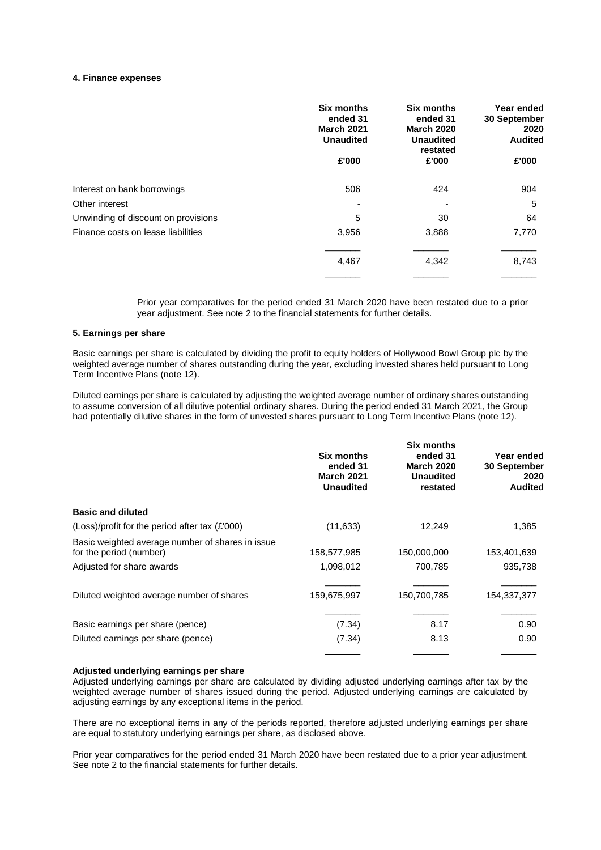#### **4. Finance expenses**

|                                     | <b>Six months</b><br>ended 31<br><b>March 2021</b><br><b>Unaudited</b> | <b>Six months</b><br>ended 31<br><b>March 2020</b><br><b>Unaudited</b><br>restated |       |
|-------------------------------------|------------------------------------------------------------------------|------------------------------------------------------------------------------------|-------|
|                                     | £'000                                                                  | £'000                                                                              | £'000 |
| Interest on bank borrowings         | 506                                                                    | 424                                                                                | 904   |
| Other interest                      |                                                                        |                                                                                    | 5     |
| Unwinding of discount on provisions | 5                                                                      | 30                                                                                 | 64    |
| Finance costs on lease liabilities  | 3,956                                                                  | 3,888                                                                              | 7,770 |
|                                     | 4,467                                                                  | 4,342                                                                              | 8,743 |
|                                     |                                                                        |                                                                                    |       |

Prior year comparatives for the period ended 31 March 2020 have been restated due to a prior year adjustment. See note 2 to the financial statements for further details.

### **5. Earnings per share**

Basic earnings per share is calculated by dividing the profit to equity holders of Hollywood Bowl Group plc by the weighted average number of shares outstanding during the year, excluding invested shares held pursuant to Long Term Incentive Plans (note 12).

Diluted earnings per share is calculated by adjusting the weighted average number of ordinary shares outstanding to assume conversion of all dilutive potential ordinary shares. During the period ended 31 March 2021, the Group had potentially dilutive shares in the form of unvested shares pursuant to Long Term Incentive Plans (note 12).

|                                                                             | <b>Six months</b><br>ended 31<br><b>March 2021</b><br><b>Unaudited</b> | Six months<br>ended 31<br><b>March 2020</b><br><b>Unaudited</b><br>restated | Year ended<br>30 September<br>2020<br><b>Audited</b> |
|-----------------------------------------------------------------------------|------------------------------------------------------------------------|-----------------------------------------------------------------------------|------------------------------------------------------|
| <b>Basic and diluted</b>                                                    |                                                                        |                                                                             |                                                      |
| (Loss)/profit for the period after tax (£'000)                              | (11, 633)                                                              | 12,249                                                                      | 1,385                                                |
| Basic weighted average number of shares in issue<br>for the period (number) | 158,577,985                                                            | 150,000,000                                                                 | 153,401,639                                          |
| Adjusted for share awards                                                   | 1,098,012                                                              | 700,785                                                                     | 935,738                                              |
| Diluted weighted average number of shares                                   | 159,675,997                                                            | 150,700,785                                                                 | 154,337,377                                          |
| Basic earnings per share (pence)                                            | (7.34)                                                                 | 8.17                                                                        | 0.90                                                 |
| Diluted earnings per share (pence)                                          | (7.34)                                                                 | 8.13                                                                        | 0.90                                                 |
|                                                                             |                                                                        |                                                                             |                                                      |

#### **Adjusted underlying earnings per share**

Adjusted underlying earnings per share are calculated by dividing adjusted underlying earnings after tax by the weighted average number of shares issued during the period. Adjusted underlying earnings are calculated by adjusting earnings by any exceptional items in the period.

There are no exceptional items in any of the periods reported, therefore adjusted underlying earnings per share are equal to statutory underlying earnings per share, as disclosed above.

Prior year comparatives for the period ended 31 March 2020 have been restated due to a prior year adjustment. See note 2 to the financial statements for further details.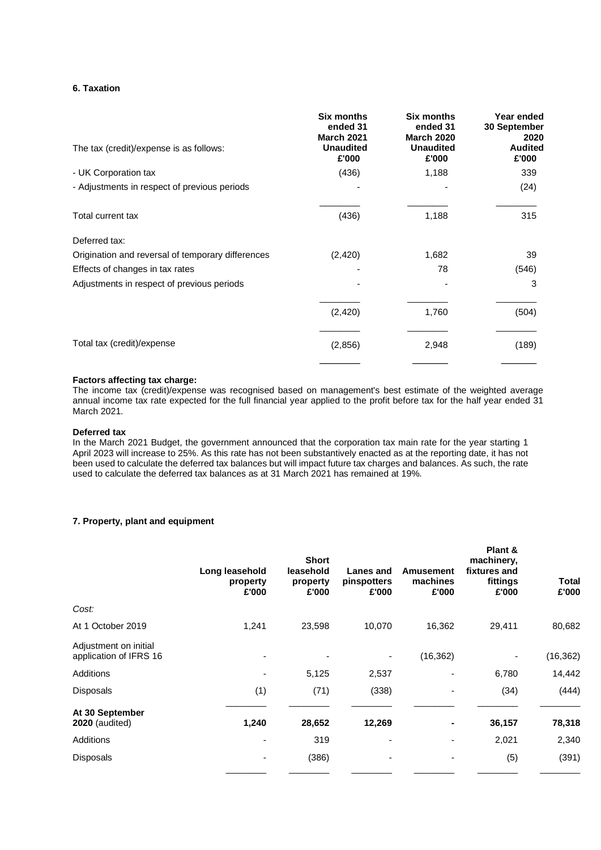### **6. Taxation**

| <b>Six months</b><br>ended 31<br><b>March 2021</b><br><b>Unaudited</b> | Six months<br>ended 31<br><b>March 2020</b><br><b>Unaudited</b> | Year ended<br><b>30 September</b><br>2020<br><b>Audited</b> |
|------------------------------------------------------------------------|-----------------------------------------------------------------|-------------------------------------------------------------|
|                                                                        |                                                                 | £'000                                                       |
|                                                                        |                                                                 | 339                                                         |
|                                                                        |                                                                 | (24)                                                        |
| (436)                                                                  | 1,188                                                           | 315                                                         |
|                                                                        |                                                                 |                                                             |
| (2, 420)                                                               | 1,682                                                           | 39                                                          |
|                                                                        | 78                                                              | (546)                                                       |
|                                                                        |                                                                 | 3                                                           |
| (2, 420)                                                               | 1,760                                                           | (504)                                                       |
| (2,856)                                                                | 2,948                                                           | (189)                                                       |
|                                                                        | £'000<br>(436)                                                  | £'000<br>1,188                                              |

## **Factors affecting tax charge:**

The income tax (credit)/expense was recognised based on management's best estimate of the weighted average annual income tax rate expected for the full financial year applied to the profit before tax for the half year ended 31 March 2021.

## **Deferred tax**

In the March 2021 Budget, the government announced that the corporation tax main rate for the year starting 1 April 2023 will increase to 25%. As this rate has not been substantively enacted as at the reporting date, it has not been used to calculate the deferred tax balances but will impact future tax charges and balances. As such, the rate used to calculate the deferred tax balances as at 31 March 2021 has remained at 19%.

### **7. Property, plant and equipment**

|                                                 | Long leasehold<br>property<br>£'000 | <b>Short</b><br>leasehold<br>property<br>£'000 | Lanes and<br>pinspotters<br>£'000 | <b>Amusement</b><br>machines<br>£'000 | Plant &<br>machinery,<br>fixtures and<br>fittings<br>£'000 | <b>Total</b><br>£'000 |
|-------------------------------------------------|-------------------------------------|------------------------------------------------|-----------------------------------|---------------------------------------|------------------------------------------------------------|-----------------------|
| Cost:                                           |                                     |                                                |                                   |                                       |                                                            |                       |
| At 1 October 2019                               | 1,241                               | 23,598                                         | 10,070                            | 16,362                                | 29,411                                                     | 80,682                |
| Adjustment on initial<br>application of IFRS 16 |                                     |                                                |                                   | (16, 362)                             |                                                            | (16, 362)             |
| <b>Additions</b>                                | $\overline{\phantom{0}}$            | 5,125                                          | 2,537                             |                                       | 6,780                                                      | 14,442                |
| Disposals                                       | (1)                                 | (71)                                           | (338)                             |                                       | (34)                                                       | (444)                 |
| At 30 September<br><b>2020</b> (audited)        | 1,240                               | 28,652                                         | 12,269                            |                                       | 36,157                                                     | 78,318                |
| <b>Additions</b>                                |                                     | 319                                            |                                   |                                       | 2,021                                                      | 2,340                 |
| Disposals                                       |                                     | (386)                                          | -                                 |                                       | (5)                                                        | (391)                 |
|                                                 |                                     |                                                |                                   |                                       |                                                            |                       |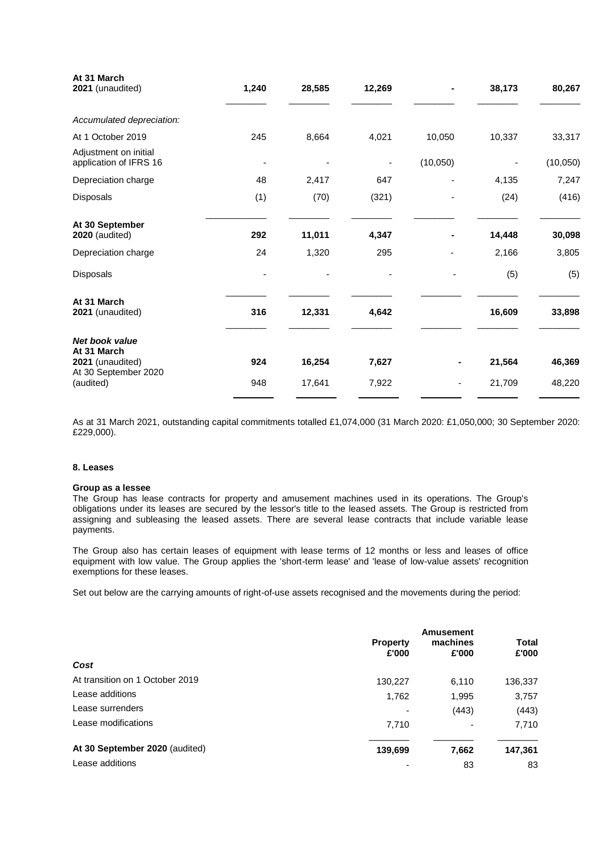| At 31 March<br>2021 (unaudited)                                                  | 1,240 | 28,585 | 12,269 |          | 38,173 | 80,267   |
|----------------------------------------------------------------------------------|-------|--------|--------|----------|--------|----------|
| Accumulated depreciation:                                                        |       |        |        |          |        |          |
| At 1 October 2019                                                                | 245   | 8,664  | 4,021  | 10,050   | 10,337 | 33,317   |
| Adjustment on initial<br>application of IFRS 16                                  |       |        |        | (10,050) |        | (10,050) |
| Depreciation charge                                                              | 48    | 2,417  | 647    |          | 4,135  | 7,247    |
| Disposals                                                                        | (1)   | (70)   | (321)  |          | (24)   | (416)    |
| At 30 September<br><b>2020</b> (audited)                                         | 292   | 11,011 | 4,347  |          | 14,448 | 30,098   |
| Depreciation charge                                                              | 24    | 1,320  | 295    |          | 2,166  | 3,805    |
| Disposals                                                                        |       |        |        |          | (5)    | (5)      |
| At 31 March<br>2021 (unaudited)                                                  | 316   | 12,331 | 4,642  |          | 16,609 | 33,898   |
| <b>Net book value</b><br>At 31 March<br>2021 (unaudited)<br>At 30 September 2020 | 924   | 16,254 | 7,627  |          | 21,564 | 46,369   |
| (audited)                                                                        | 948   | 17,641 | 7,922  |          | 21,709 | 48,220   |

As at 31 March 2021, outstanding capital commitments totalled £1,074,000 (31 March 2020: £1,050,000; 30 September 2020: £229,000).

#### **8. Leases**

### **Group as a lessee**

The Group has lease contracts for property and amusement machines used in its operations. The Group's obligations under its leases are secured by the lessor's title to the leased assets. The Group is restricted from assigning and subleasing the leased assets. There are several lease contracts that include variable lease payments.

The Group also has certain leases of equipment with lease terms of 12 months or less and leases of office equipment with low value. The Group applies the 'short-term lease' and 'lease of low-value assets' recognition exemptions for these leases.

Set out below are the carrying amounts of right-of-use assets recognised and the movements during the period:

| Cost                            | <b>Property</b><br>£'000 | Amusement<br>machines<br>£'000 | <b>Total</b><br>£'000 |
|---------------------------------|--------------------------|--------------------------------|-----------------------|
|                                 |                          |                                |                       |
| At transition on 1 October 2019 | 130,227                  | 6,110                          | 136,337               |
| Lease additions                 | 1,762                    | 1,995                          | 3,757                 |
| Lease surrenders                |                          | (443)                          | (443)                 |
| Lease modifications             | 7,710                    | ۰                              | 7,710                 |
| At 30 September 2020 (audited)  | 139,699                  | 7,662                          | 147,361               |
| Lease additions                 |                          | 83                             | 83                    |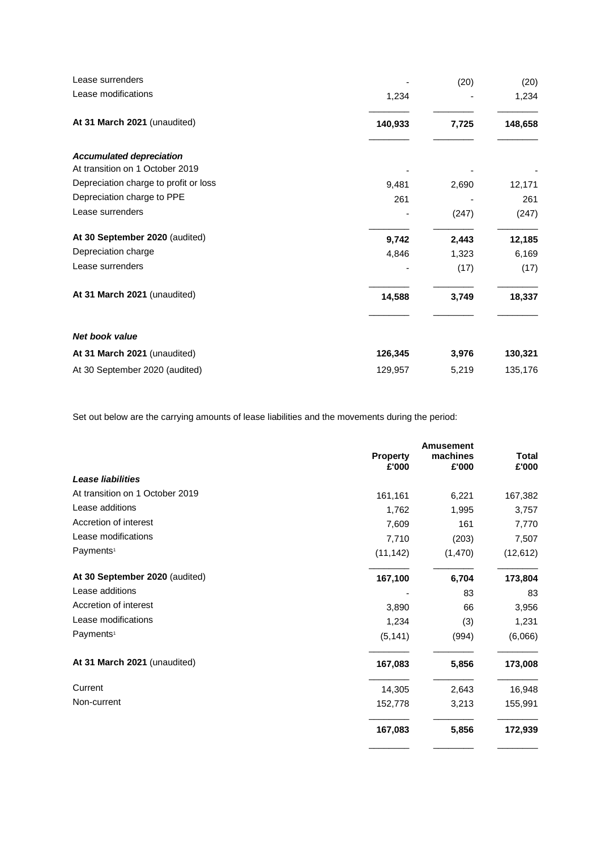| Lease surrenders                      |         | (20)  | (20)    |
|---------------------------------------|---------|-------|---------|
| Lease modifications                   | 1,234   |       | 1,234   |
| At 31 March 2021 (unaudited)          | 140,933 | 7,725 | 148,658 |
| <b>Accumulated depreciation</b>       |         |       |         |
| At transition on 1 October 2019       |         |       |         |
| Depreciation charge to profit or loss | 9,481   | 2,690 | 12,171  |
| Depreciation charge to PPE            | 261     |       | 261     |
| Lease surrenders                      |         | (247) | (247)   |
| At 30 September 2020 (audited)        | 9,742   | 2,443 | 12,185  |
| Depreciation charge                   | 4,846   | 1,323 | 6,169   |
| Lease surrenders                      |         | (17)  | (17)    |
| At 31 March 2021 (unaudited)          | 14,588  | 3,749 | 18,337  |
| Net book value                        |         |       |         |
| At 31 March 2021 (unaudited)          | 126,345 | 3,976 | 130,321 |
| At 30 September 2020 (audited)        | 129,957 | 5,219 | 135,176 |

Set out below are the carrying amounts of lease liabilities and the movements during the period:

|                                 |                          | <b>Amusement</b>  |                       |
|---------------------------------|--------------------------|-------------------|-----------------------|
|                                 | <b>Property</b><br>£'000 | machines<br>£'000 | <b>Total</b><br>£'000 |
| <b>Lease liabilities</b>        |                          |                   |                       |
| At transition on 1 October 2019 | 161,161                  | 6,221             | 167,382               |
| Lease additions                 | 1,762                    | 1,995             | 3,757                 |
| Accretion of interest           | 7,609                    | 161               | 7,770                 |
| Lease modifications             | 7,710                    | (203)             | 7,507                 |
| Payments <sup>1</sup>           | (11, 142)                | (1,470)           | (12, 612)             |
| At 30 September 2020 (audited)  | 167,100                  | 6,704             | 173,804               |
| Lease additions                 |                          | 83                | 83                    |
| Accretion of interest           | 3,890                    | 66                | 3,956                 |
| Lease modifications             | 1,234                    | (3)               | 1,231                 |
| Payments <sup>1</sup>           | (5, 141)                 | (994)             | (6,066)               |
| At 31 March 2021 (unaudited)    | 167,083                  | 5,856             | 173,008               |
| Current                         | 14,305                   | 2,643             | 16,948                |
| Non-current                     | 152,778                  | 3,213             | 155,991               |
|                                 | 167,083                  | 5,856             | 172,939               |
|                                 |                          |                   |                       |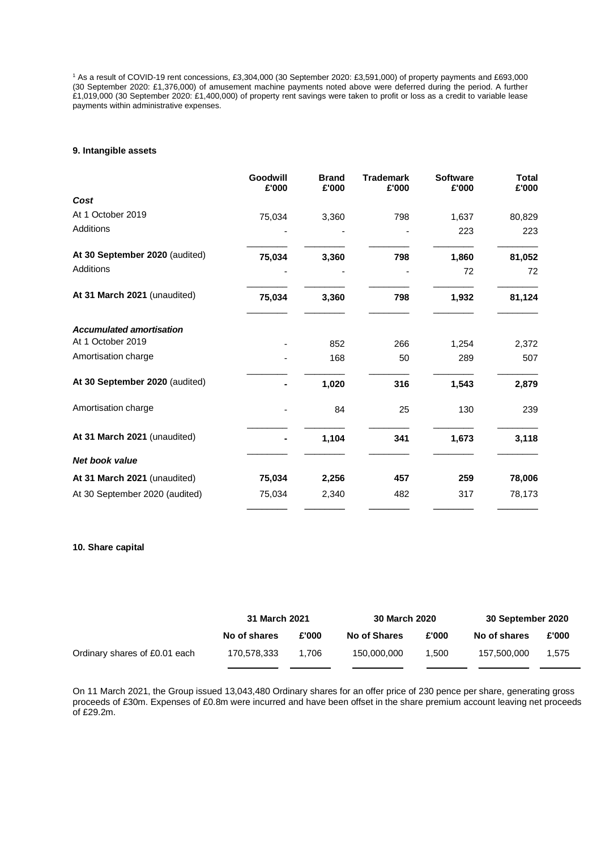<sup>1</sup> As a result of COVID-19 rent concessions, £3,304,000 (30 September 2020: £3,591,000) of property payments and £693,000 (30 September 2020: £1,376,000) of amusement machine payments noted above were deferred during the period. A further £1,019,000 (30 September 2020: £1,400,000) of property rent savings were taken to profit or loss as a credit to variable lease payments within administrative expenses.

#### **9. Intangible assets**

|                                 | Goodwill<br>£'000 | <b>Brand</b><br>£'000 | <b>Trademark</b><br>£'000 | <b>Software</b><br>£'000 | <b>Total</b><br>£'000 |
|---------------------------------|-------------------|-----------------------|---------------------------|--------------------------|-----------------------|
| Cost                            |                   |                       |                           |                          |                       |
| At 1 October 2019               | 75,034            | 3,360                 | 798                       | 1,637                    | 80,829                |
| Additions                       |                   |                       |                           | 223                      | 223                   |
| At 30 September 2020 (audited)  | 75,034            | 3,360                 | 798                       | 1,860                    | 81,052                |
| <b>Additions</b>                |                   |                       |                           | 72                       | 72                    |
| At 31 March 2021 (unaudited)    | 75,034            | 3,360                 | 798                       | 1,932                    | 81,124                |
| <b>Accumulated amortisation</b> |                   |                       |                           |                          |                       |
| At 1 October 2019               |                   | 852                   | 266                       | 1,254                    | 2,372                 |
| Amortisation charge             |                   | 168                   | 50                        | 289                      | 507                   |
| At 30 September 2020 (audited)  |                   | 1,020                 | 316                       | 1,543                    | 2,879                 |
| Amortisation charge             |                   | 84                    | 25                        | 130                      | 239                   |
| At 31 March 2021 (unaudited)    |                   | 1,104                 | 341                       | 1,673                    | 3,118                 |
| <b>Net book value</b>           |                   |                       |                           |                          |                       |
| At 31 March 2021 (unaudited)    | 75,034            | 2,256                 | 457                       | 259                      | 78,006                |
| At 30 September 2020 (audited)  | 75,034            | 2,340                 | 482                       | 317                      | 78,173                |

#### **10. Share capital**

|                               | 31 March 2021 |       | 30 March 2020 |       | 30 September 2020 |       |
|-------------------------------|---------------|-------|---------------|-------|-------------------|-------|
|                               | No of shares  | £'000 | No of Shares  | £'000 | No of shares      | £'000 |
| Ordinary shares of £0.01 each | 170.578.333   | 1.706 | 150,000,000   | 1.500 | 157.500.000       | 1,575 |

On 11 March 2021, the Group issued 13,043,480 Ordinary shares for an offer price of 230 pence per share, generating gross proceeds of £30m. Expenses of £0.8m were incurred and have been offset in the share premium account leaving net proceeds of £29.2m.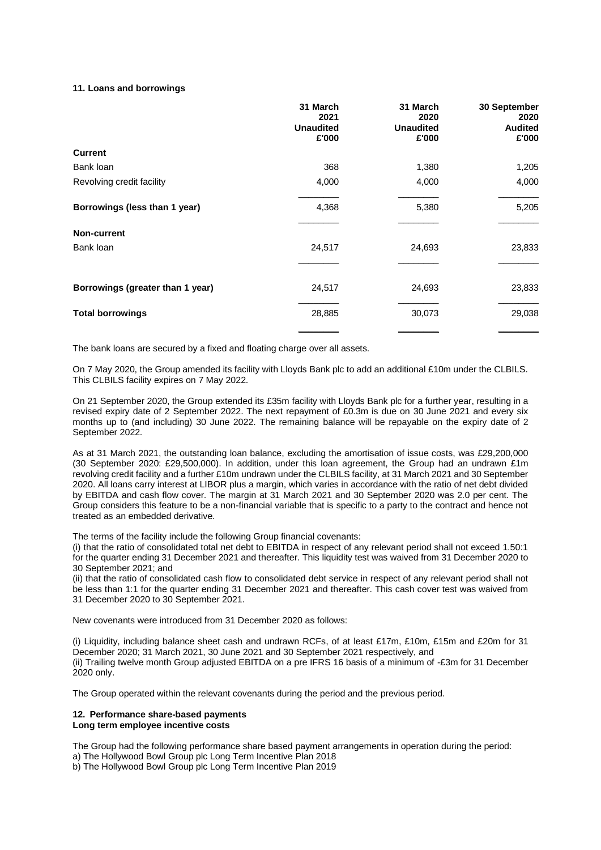### **11. Loans and borrowings**

|                                  | 31 March<br>2021          | 31 March<br>2020          | 30 September<br>2020    |
|----------------------------------|---------------------------|---------------------------|-------------------------|
|                                  | <b>Unaudited</b><br>£'000 | <b>Unaudited</b><br>£'000 | <b>Audited</b><br>£'000 |
| <b>Current</b>                   |                           |                           |                         |
| Bank loan                        | 368                       | 1,380                     | 1,205                   |
| Revolving credit facility        | 4,000                     | 4,000                     | 4,000                   |
| Borrowings (less than 1 year)    | 4,368                     | 5,380                     | 5,205                   |
| Non-current                      |                           |                           |                         |
| Bank loan                        | 24,517                    | 24,693                    | 23,833                  |
|                                  |                           |                           |                         |
| Borrowings (greater than 1 year) | 24,517                    | 24,693                    | 23,833                  |
| <b>Total borrowings</b>          | 28,885                    | 30,073                    | 29,038                  |
|                                  |                           |                           |                         |

The bank loans are secured by a fixed and floating charge over all assets.

On 7 May 2020, the Group amended its facility with Lloyds Bank plc to add an additional £10m under the CLBILS. This CLBILS facility expires on 7 May 2022.

On 21 September 2020, the Group extended its £35m facility with Lloyds Bank plc for a further year, resulting in a revised expiry date of 2 September 2022. The next repayment of £0.3m is due on 30 June 2021 and every six months up to (and including) 30 June 2022. The remaining balance will be repayable on the expiry date of 2 September 2022.

As at 31 March 2021, the outstanding loan balance, excluding the amortisation of issue costs, was £29,200,000 (30 September 2020: £29,500,000). In addition, under this loan agreement, the Group had an undrawn £1m revolving credit facility and a further £10m undrawn under the CLBILS facility, at 31 March 2021 and 30 September 2020. All loans carry interest at LIBOR plus a margin, which varies in accordance with the ratio of net debt divided by EBITDA and cash flow cover. The margin at 31 March 2021 and 30 September 2020 was 2.0 per cent. The Group considers this feature to be a non-financial variable that is specific to a party to the contract and hence not treated as an embedded derivative.

The terms of the facility include the following Group financial covenants:

(i) that the ratio of consolidated total net debt to EBITDA in respect of any relevant period shall not exceed 1.50:1 for the quarter ending 31 December 2021 and thereafter. This liquidity test was waived from 31 December 2020 to 30 September 2021; and

(ii) that the ratio of consolidated cash flow to consolidated debt service in respect of any relevant period shall not be less than 1:1 for the quarter ending 31 December 2021 and thereafter. This cash cover test was waived from 31 December 2020 to 30 September 2021.

New covenants were introduced from 31 December 2020 as follows:

(i) Liquidity, including balance sheet cash and undrawn RCFs, of at least £17m, £10m, £15m and £20m for 31 December 2020; 31 March 2021, 30 June 2021 and 30 September 2021 respectively, and (ii) Trailing twelve month Group adjusted EBITDA on a pre IFRS 16 basis of a minimum of -£3m for 31 December 2020 only.

The Group operated within the relevant covenants during the period and the previous period.

#### **12. Performance share-based payments Long term employee incentive costs**

The Group had the following performance share based payment arrangements in operation during the period: a) The Hollywood Bowl Group plc Long Term Incentive Plan 2018

b) The Hollywood Bowl Group plc Long Term Incentive Plan 2019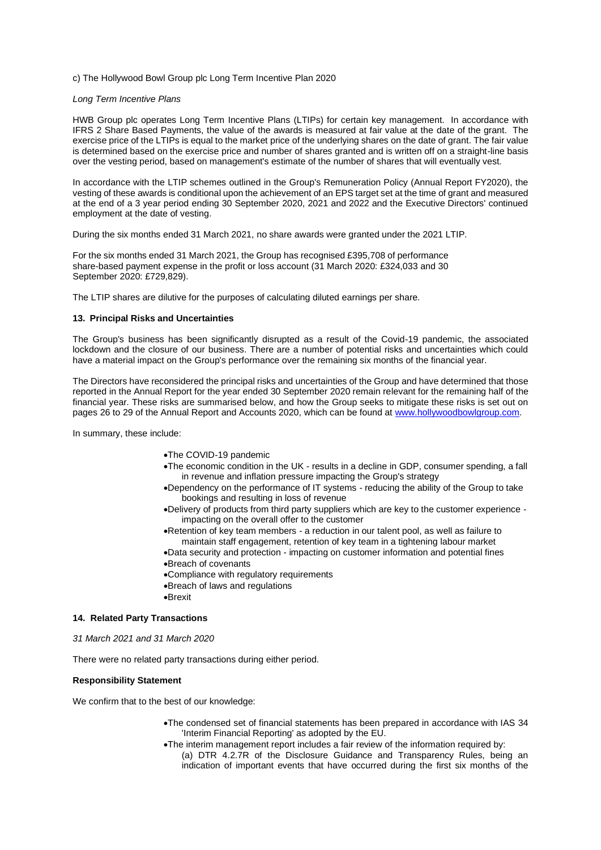#### c) The Hollywood Bowl Group plc Long Term Incentive Plan 2020

#### *Long Term Incentive Plans*

HWB Group plc operates Long Term Incentive Plans (LTIPs) for certain key management. In accordance with IFRS 2 Share Based Payments, the value of the awards is measured at fair value at the date of the grant. The exercise price of the LTIPs is equal to the market price of the underlying shares on the date of grant. The fair value is determined based on the exercise price and number of shares granted and is written off on a straight-line basis over the vesting period, based on management's estimate of the number of shares that will eventually vest.

In accordance with the LTIP schemes outlined in the Group's Remuneration Policy (Annual Report FY2020), the vesting of these awards is conditional upon the achievement of an EPS target set at the time of grant and measured at the end of a 3 year period ending 30 September 2020, 2021 and 2022 and the Executive Directors' continued employment at the date of vesting.

During the six months ended 31 March 2021, no share awards were granted under the 2021 LTIP.

For the six months ended 31 March 2021, the Group has recognised £395,708 of performance share-based payment expense in the profit or loss account (31 March 2020: £324,033 and 30 September 2020: £729,829).

The LTIP shares are dilutive for the purposes of calculating diluted earnings per share.

#### **13. Principal Risks and Uncertainties**

The Group's business has been significantly disrupted as a result of the Covid-19 pandemic, the associated lockdown and the closure of our business. There are a number of potential risks and uncertainties which could have a material impact on the Group's performance over the remaining six months of the financial year.

The Directors have reconsidered the principal risks and uncertainties of the Group and have determined that those reported in the Annual Report for the year ended 30 September 2020 remain relevant for the remaining half of the financial year. These risks are summarised below, and how the Group seeks to mitigate these risks is set out on pages 26 to 29 of the Annual Report and Accounts 2020, which can be found at [www.hollywoodbowlgroup.com.](http://www.hollywoodbowlgroup.com/)

In summary, these include:

- •The COVID-19 pandemic
- •The economic condition in the UK results in a decline in GDP, consumer spending, a fall in revenue and inflation pressure impacting the Group's strategy
- •Dependency on the performance of IT systems reducing the ability of the Group to take bookings and resulting in loss of revenue
- •Delivery of products from third party suppliers which are key to the customer experience impacting on the overall offer to the customer
- •Retention of key team members a reduction in our talent pool, as well as failure to maintain staff engagement, retention of key team in a tightening labour market
- •Data security and protection impacting on customer information and potential fines •Breach of covenants
- •Compliance with regulatory requirements
- •Breach of laws and regulations
- •Brexit

#### **14. Related Party Transactions**

*31 March 2021 and 31 March 2020*

There were no related party transactions during either period.

### **Responsibility Statement**

We confirm that to the best of our knowledge:

- •The condensed set of financial statements has been prepared in accordance with IAS 34 'Interim Financial Reporting' as adopted by the EU.
- •The interim management report includes a fair review of the information required by:
	- (a) DTR 4.2.7R of the Disclosure Guidance and Transparency Rules, being an indication of important events that have occurred during the first six months of the